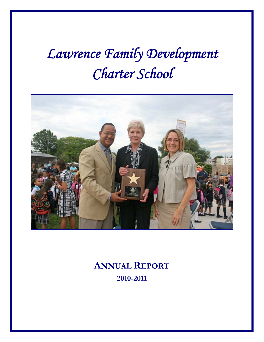# *Lawrence Family Development Charter School*



**ANNUAL REPORT 2010-2011**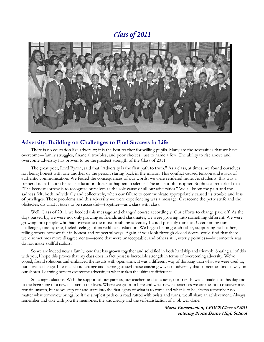### *Class of 2011*



#### **Adversity: Building on Challenges to Find Success in Life**

There is no education like adversity; it is the best teacher for willing pupils. Many are the adversities that we have overcome—family struggles, financial troubles, and poor choices, just to name a few. The ability to rise above and overcome adversity has proven to be the greatest strength of the Class of 2011.

The great poet, Lord Byron, said that "Adversity is the first path to truth." As a class, at times, we found ourselves not being honest with one another or the person staring back in the mirror. This conflict caused tension and a lack of authentic communication. We feared the consequences of our words; we were rendered mute. As students, this was a tremendous affliction because education does not happen in silence. The ancient philosopher, Sophocles remarked that "The keenest sorrow is to recognize ourselves as the sole cause of all our adversities." We all know the pain and the sadness felt, both individually and collectively, when our failure to communicate appropriately caused us trouble and loss of privileges. These problems and this adversity we were experiencing was a message: Overcome the petty strife and the obstacles; do what it takes to be successful—together—as a class with class.

Well, Class of 2011, we heeded this message and changed course accordingly. Our efforts to change paid off. As the days passed by, we were not only growing as friends and classmates, we were growing into something different. We were growing into people who had overcome the most troubling adversity I could possibly think of. Overcoming our challenges, one by one, fueled feelings of incredible satisfaction. We began helping each other, supporting each other, telling others how we felt in honest and respectful ways. Again, if you look through closed doors, you'd find that there were sometimes more disagreements—some that were unacceptable, and others still, utterly pointless—but smooth seas do not make skillful sailors.

So we are indeed now a family, one that has grown together and solidified in both hardship and triumph. Sharing all of this with you, I hope this proves that my class does in fact possess incredible strength in terms of overcoming adversity. We've coped, found solutions and embraced the results with open arms. It was a different way of thinking than what we were used to, but it was a change. Life is all about change and learning to surf those crashing waves of adversity that sometimes finds it way on our shores. Learning how to overcome adversity is what makes the ultimate difference.

So, congratulations! With the support of our parents, our teachers and of course, our friends, we all made it to this day and to the beginning of a new chapter in our lives. Where we go from here and what new experiences we are meant to discover may remain unseen, but as we step out and stare into the first lights of what is to come and what is to be, always remember: no matter what tomorrow brings, be it the simplest path or a road rutted with twists and turns, we all share an achievement. Always remember and take with you the memories, the knowledge and the self-satisfaction of a job well done.

> **Maria Encarnación, LFDCS Class of 2011 entering Notre Dame High School**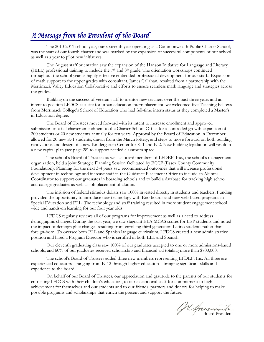# *A Message from the President of the Board*

The 2010-2011 school year, our sixteenth year operating as a Commonwealth Public Charter School, was the start of our fourth charter and was marked by the expansion of successful components of our school as well as a year to pilot new initiatives.

 The August staff orientation saw the expansion of the Hanson Initiative for Language and Literacy (HILL) professional training to include the  $7<sup>th</sup>$  and  $8<sup>th</sup>$  grade. The orientation workshops continued throughout the school year as highly-effective embedded professional development for our staff.. Expansion of math support to the upper grades with consultant, James Callahan, resulted from a partnership with the Merrimack Valley Education Collaborative and efforts to ensure seamless math language and strategies across the grades.

 Building on the success of veteran staff to mentor new teachers over the past three years and an intent to position LFDCS as a site for urban education intern placement, we welcomed five Teaching Fellows from Merrimack College's School of Education who had full-time intern status as they completed a Master's in Education degree.

 The Board of Trustees moved forward with its intent to increase enrollment and approved submission of a fall charter amendment to the Charter School Office for a controlled growth expansion of 200 students or 20 new students annually for ten years. Approval by the Board of Education in December allowed for 20 new K-1 students, drawn from the March lottery, and steps to move forward on both building renovations and design of a new Kindergarten Center for K-1 and K-2. New building legislation will result in a new capital plan (see page 28) to support needed classroom space.

 The school's Board of Trustees as well as board members of LFDEF, Inc., the school's management organization, held a joint Strategic Planning Session facilitated by ECCF (Essex County Community Foundation). Planning for the next 3-4 years saw recommended outcomes that will increase professional development in technology and increase staff in the Guidance Placement Office to include an Alumni Coordinator to support our graduates in boarding schools and to build a database for tracking high school and college graduates as well as job placement of alumni.

 The infusion of federal stimulus dollars saw 100% invested directly in students and teachers. Funding provided the opportunity to introduce new technology with Eno boards and new web-based programs in Special Education and ELL. The technology and staff training resulted in more student engagement school wide and hands-on learning for our four year olds.

 LFDCS regularly reviews all of our programs for improvement as well as a need to address demographic changes. During the past year, we saw stagnant ELA MCAS scores for LEP students and noted the impact of demographic changes resulting from enrolling third generation Latino students rather than foreign-born. To oversee both ELL and Spanish language curriculum, LFDCS created a new administrative position and hired a Program Director who is certified in both ELL and Spanish.

 Our eleventh graduating class saw 100% of our graduates accepted to one or more admissions-based schools, and 60% of our graduates received scholarship and financial aid totaling more than \$700,000.

 The school's Board of Trustees added three new members representing LFDEF, Inc. All three are experienced educators—ranging from K-12 through higher education—bringing significant skills and experience to the board.

 On behalf of our Board of Trustees, our appreciation and gratitude to the parents of our students for entrusting LFDCS with their children's education, to our exceptional staff for commitment to high achievement for themselves and our students and to our friends, partners and donors for helping to make possible programs and scholarships that enrich the present and support the future.

Jacquescante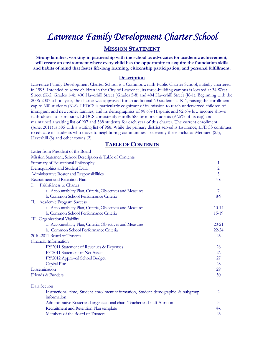# *Lawrence Family Development Charter School*

### **MISSION STATEMENT**

**Strong families, working in partnership with the school as advocates for academic achievement, will create an environment where every child has the opportunity to acquire the foundation skills and habits of mind that foster life-long learning, citizenship participation, and personal fulfillment.** 

#### **Description**

Lawrence Family Development Charter School is a Commonwealth Public Charter School, initially chartered in 1995. Intended to serve children in the City of Lawrence, its three-building campus is located at 34 West Street (K-2, Grades 1-4), 400 Haverhill Street (Grades 5-8) and 404 Haverhill Street (K-1). Beginning with the 2006-2007 school year, the charter was approved for an additional 60 students at K-1, raising the enrollment cap to 600 students (K-8). LFDCS is particularly cognizant of its mission to reach underserved children of immigrant and newcomer families, and its demographics of 98.6% Hispanic and 92.6% low income shows faithfulness to its mission. LFDCS consistently enrolls 585 or more students (97.5% of its cap) and maintained a waiting list of 907 and 588 students for each year of this charter. The current enrollment (June, 2011) is 585 with a waiting list of 968. While the primary district served is Lawrence, LFDCS continues to educate its students who move to neighboring communities—currently these include: Methuen (23), Haverhill (8) and other towns (2).

#### **TABLE OF CONTENTS**

| Letter from President of the Board                                                                |                |
|---------------------------------------------------------------------------------------------------|----------------|
| Mission Statement, School Description & Table of Contents                                         |                |
| Summary of Educational Philosophy                                                                 | 1              |
| Demographics and Student Data                                                                     | $\overline{c}$ |
| Administrative Roster and Responsibilities                                                        | $\overline{3}$ |
| Recruitment and Retention Plan                                                                    | $4-6$          |
| Faithfulness to Charter<br>L.                                                                     |                |
| a. Accountability Plan, Criteria, Objectives and Measures                                         | 7              |
| b. Common School Performance Criteria                                                             | $8-9$          |
| Academic Program Success<br>Ш.                                                                    |                |
| a. Accountability Plan, Criteria, Objectives and Measures                                         | $10 - 14$      |
| b. Common School Performance Criteria                                                             | $15-19$        |
| III. Organizational Viability                                                                     |                |
| a. Accountability Plan, Criteria, Objectives and Measures                                         | $20 - 21$      |
| b. Common School Performance Criteria                                                             | $22 - 24$      |
| 2010-2011 Board of Trustees                                                                       | 25             |
| Financial Information                                                                             |                |
| FY'2011 Statement of Revenues & Expenses                                                          | 26             |
| FY'2011 Statement of Net Assets                                                                   | 26             |
| FY'2012 Approved School Budget                                                                    | 27             |
| Capital Plan                                                                                      | 28             |
| Dissemination                                                                                     | 29             |
| Friends & Funders                                                                                 | 30             |
| Data Section                                                                                      |                |
| Instructional time, Student enrollment information, Student demographic & subgroup<br>information | 2              |
| Administrative Roster and organizational chart, Teacher and staff Attrition                       | 3              |
| Recruitment and Retention Plan template                                                           | $4-6$          |
| Members of the Board of Trustees                                                                  | 25             |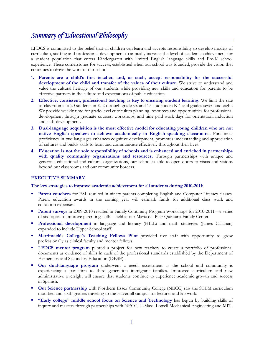# *Summary of Educational Philosophy*

LFDCS is committed to the belief that all children can learn and accepts responsibility to develop models of curriculum, staffing and professional development to annually increase the level of academic achievement for a student population that enters Kindergarten with limited English language skills and Pre-K school experience. These cornerstones for success, established when our school was founded, provide the vision that continues to drive the work of our school.

- **1. Parents are a child's first teacher, and, as such, accept responsibility for the successful development of the child and transfer of the values of their culture.** We strive to understand and value the cultural heritage of our students while providing new skills and education for parents to be effective partners in the culture and expectations of public education.
- **2. Effective, consistent, professional teaching is key to ensuring student learning.** We limit the size of classrooms to 20 students in K-2 through grade six and 15 students in K-1 and grades seven and eight. We provide weekly time for grade-level curriculum planning, resources and opportunities for professional development through graduate courses, workshops, and nine paid work days for orientation, induction and staff development.
- **3. Dual-language acquisition is the most effective model for educating young children who are not native English speakers to achieve academically in English-speaking classrooms.** Functional proficiency in two languages enhances cognitive development, promotes understanding and appreciation of cultures and builds skills to learn and communicate effectively throughout their lives.
- **4. Education is not the sole responsibility of schools and is enhanced and enriched in partnerships with quality community organizations and resources.** Through partnerships with unique and generous educational and cultural organizations, our school is able to open doors to vistas and visions beyond our classrooms and our community borders.

#### **EXECUTIVE SUMMARY**

#### **The key strategies to improve academic achievement for all students during 2010-2011:**

- **Parent vouchers** for ESL resulted in ninety parents completing English and Computer Literacy classes. Parent education awards in the coming year will earmark funds for additional class work and education expenses.
- **Parent surveys** in 2009-2010 resulted in Family Continuity Program Workshops for 2010-2011—a series of six topics to improve parenting skills—held at our Maria del Pilar Quintana Family Center.
- **Professional development** in language and literacy (HILL) and math strategies (James Callahan) expanded to include Upper School staff.
- **Merrimack's College's Teaching Fellows Pilot** provided five staff with opportunity to grow professionally as clinical faculty and mentor fellows.
- **LEDCS** mentor program piloted a project for new teachers to create a portfolio of professional documents as evidence of skills in each of the professional standards established by the Department of Elementary and Secondary Education (DESE).
- **Our dual-language program** underwent a needs assessment as the school and community is experiencing a transition to third generation immigrant families. Improved curriculum and new administrative oversight will ensure that students continue to experience academic growth and success in Spanish.
- **Dur Science partnership** with Northern Essex Community College (NECC) saw the STEM curriculum modified and sixth graders traveling to the Haverhill campus for lectures and lab work.
- **"Early college" middle school focus on Science and Technology** has begun by building skills of inquiry and mastery through partnerships with NECC, U-Mass. Lowell Mechanical Engineering and MIT.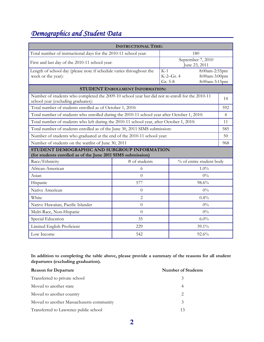# *Demographics and Student Data*

| <b>INSTRUCTIONAL TIME:</b>                                                                                                           |                                        |                               |                                                 |                |
|--------------------------------------------------------------------------------------------------------------------------------------|----------------------------------------|-------------------------------|-------------------------------------------------|----------------|
| Total number of instructional days for the 2010-11 school year:                                                                      |                                        |                               | 180                                             |                |
| September 7, 2010<br>First and last day of the 2010-11 school year:<br>June 23, 2011                                                 |                                        |                               |                                                 |                |
| Length of school day (please note if schedule varies throughout the<br>week or the year):                                            |                                        | $K-1$<br>K-2-Gr. 4<br>Gr. 5-8 | 8:00am-2:55pm<br>8:00am-3:00pm<br>8:00am-3:15pm |                |
|                                                                                                                                      | <b>STUDENT ENROLLMENT INFORMATION:</b> |                               |                                                 |                |
| Number of students who completed the 2009-10 school year but did not re-enroll for the 2010-11<br>school year (excluding graduates): |                                        |                               |                                                 | 14             |
| Total number of students enrolled as of October 1, 2010:                                                                             |                                        |                               |                                                 | 592            |
| Total number of students who enrolled during the 2010-11 school year after October 1, 2010:                                          |                                        |                               |                                                 | $\overline{4}$ |
| Total number of students who left during the 2010-11 school year, after October 1, 2010:                                             |                                        |                               |                                                 | 11             |
| Total number of students enrolled as of the June 30, 2011 SIMS submission:                                                           |                                        |                               | 585                                             |                |
| Number of students who graduated at the end of the 2010-11 school year:                                                              |                                        |                               | 50                                              |                |
| Number of students on the waitlist of June 30, 2011                                                                                  |                                        |                               |                                                 | 968            |
| STUDENT DEMOGRAPHIC AND SUBGROUP INFORMATION<br>(for students enrolled as of the June 2011 SIMS submission)                          |                                        |                               |                                                 |                |
| Race/Ethnicity                                                                                                                       | # of students                          |                               | % of entire student body                        |                |
| African-American                                                                                                                     | 6                                      |                               | 1.0%                                            |                |
| Asian                                                                                                                                | $\overline{0}$                         |                               | $0\%$                                           |                |
| Hispanic                                                                                                                             | 577                                    |                               | 98.6%                                           |                |
| Native American                                                                                                                      | $\Omega$                               |                               | $0\%$                                           |                |
| White                                                                                                                                | $\overline{2}$                         |                               | 0.4%                                            |                |
| Native Hawaiian, Pacific Islander                                                                                                    | $\overline{0}$                         |                               | $0\%$                                           |                |
| Multi-Race, Non-Hispanic                                                                                                             | $\Omega$                               |                               | $0\%$                                           |                |
| Special Education                                                                                                                    | 35                                     |                               | $6.0\%$                                         |                |
| Limited English Proficient                                                                                                           | 229                                    |                               | 39.1%                                           |                |
| Low Income                                                                                                                           | 542                                    |                               | 92.6%                                           |                |

**In addition to completing the table above, please provide a summary of the reasons for all student departures (excluding graduation).** 

| <b>Reason for Departure</b>              | <b>Number of Students</b> |
|------------------------------------------|---------------------------|
| Transferred to private school            | 3                         |
| Moved to another state                   | 4                         |
| Moved to another country                 | 2                         |
| Moved to another Massachusetts community | 3                         |
| Transferred to Lawrence public school    | 13                        |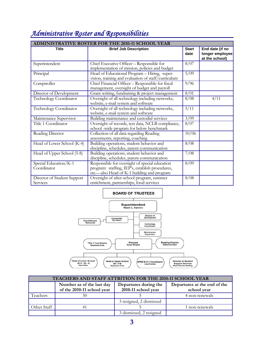| <b>ADMINISTRATIVE ROSTER FOR THE 2010-11 SCHOOL YEAR</b> |                                                                                                                                                 |                |                                                      |
|----------------------------------------------------------|-------------------------------------------------------------------------------------------------------------------------------------------------|----------------|------------------------------------------------------|
| <b>Title</b>                                             | <b>Brief Job Description</b>                                                                                                                    |                | End date (if no<br>longer employee<br>at the school) |
| Superintendent                                           | Chief Executive Officer - Responsible for<br>implementation of mission, policies and budget                                                     | $\sqrt{8/07}$  |                                                      |
| Principal                                                | Head of Educational Program - Hiring, super-<br>vision, training and evaluation of staff/curriculum                                             | $\frac{5}{09}$ |                                                      |
| Comptroller                                              | Chief Financial Officer - Responsible for fiscal<br>management, oversight of budget and payroll                                                 | 9/96           |                                                      |
| Director of Development                                  | Grant writing, fundraising & project management                                                                                                 | 8/01           |                                                      |
| Technology Coordinator                                   | Oversight of all technology including networks,<br>website, e-mail system and software                                                          |                | 4/11                                                 |
| Technology Coordinator                                   | Oversight of all technology including networks,<br>website, e-mail system and software                                                          |                |                                                      |
| Maintenance Supervisor                                   | $\frac{3}{9}$<br>Building maintenance and custodial services                                                                                    |                |                                                      |
| Title 1 Coordinator                                      | Oversight of records, test data, NCLB compliance,<br>school -wide program for below benchmark                                                   |                |                                                      |
| Reading Director                                         | Collection of all data regarding Reading<br>assessments, reporting, coaching                                                                    |                |                                                      |
| Head of Lower School (K-4)                               | Building operations, student behavior and<br>discipline, schedules, parent communication                                                        |                |                                                      |
| Head of Upper School (5-8)                               | Building operations, student behavior and<br>discipline, schedules, parent communication                                                        |                |                                                      |
| Special Education/K-1<br>Coordinator                     | Responsible for oversight of special education<br>program: staffing, IEP's, establish procedures,<br>etc.—also Head of K-1 building and program | 8/09           |                                                      |
| Director of Student Support<br>Services                  | 8/08<br>Oversight of after-school program, summer<br>enrichment, partnerships, food services                                                    |                |                                                      |

# *Administrative Roster and Responsibilities*

#### **BOARD OF TRUSTEES**



| <b>TEACHERS AND STAFF ATTRITION FOR THE 2010-11 SCHOOL YEAR</b> |                                                         |                                              |                                             |
|-----------------------------------------------------------------|---------------------------------------------------------|----------------------------------------------|---------------------------------------------|
|                                                                 | Number as of the last day<br>of the 2010-11 school year | Departures during the<br>2010-11 school year | Departures at the end of the<br>school year |
| Teachers                                                        | 50                                                      |                                              | 4 non-renewals                              |
|                                                                 |                                                         | 3 resigned, 2 dismissed                      |                                             |
| Other Staff                                                     |                                                         |                                              | 1 non-renewals                              |
|                                                                 |                                                         | 3 dismissed, 2 resigned                      |                                             |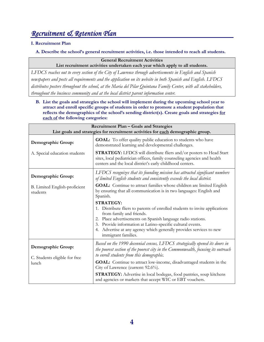# *Recruitment & Retention Plan*

#### **I. Recruitment Plan**

**A. Describe the school's general recruitment activities, i.e. those intended to reach all students.** 

**General Recruitment Activities List recruitment activities undertaken each year which apply to all students.** 

*LFDCS reaches out to every section of the City of Lawrence through advertisements in English and Spanish newspapers and posts all requirements and the application on its website in both Spanish and English. LFDCS distributes posters throughout the school, at the Maria del Pilar Quintana Family Center, with all stakeholders, throughout the business community and at the local district parent information center.* 

**B. List the goals and strategies the school will implement during the upcoming school year to attract and enroll specific groups of students in order to promote a student population that reflects the demographics of the school's sending district(s). Create goals and strategies for each of the following categories:** 

| Recruitment Plan - Goals and Strategies<br>List goals and strategies for recruitment activities for each demographic group. |                                                                                                                                                                                                                                                                                                                                                        |  |
|-----------------------------------------------------------------------------------------------------------------------------|--------------------------------------------------------------------------------------------------------------------------------------------------------------------------------------------------------------------------------------------------------------------------------------------------------------------------------------------------------|--|
| Demographic Group:                                                                                                          | <b>GOAL:</b> To offer quality public education to students who have<br>demonstrated learning and developmental challenges.                                                                                                                                                                                                                             |  |
| A. Special education students                                                                                               | <b>STRATEGY:</b> LFDCS will distribute fliers and/or posters to Head Start<br>sites, local pediatrician offices, family counseling agencies and health<br>centers and the local district's early childhood centers.                                                                                                                                    |  |
| Demographic Group:                                                                                                          | LFDCS recognizes that its founding mission has attracted significant numbers<br>of limited English students and consistently exceeds the local district.                                                                                                                                                                                               |  |
| B. Limited English-proficient<br>students                                                                                   | <b>GOAL:</b> Continue to attract families whose children are limited English<br>by ensuring that all communication is in two languages: English and<br>Spanish.                                                                                                                                                                                        |  |
|                                                                                                                             | <b>STRATEGY:</b><br>1. Distribute fliers to parents of enrolled students to invite applications<br>from family and friends.<br>2. Place advertisements on Spanish language radio stations.<br>3. Provide information at Latino-specific cultural events.<br>4. Advertise at any agency which generally provides services to new<br>immigrant families. |  |
| Demographic Group:                                                                                                          | Based on the 1990 decennial census, LFDCS strategically opened its doors in<br>the poorest section of the poorest city in the Commonwealth, focusing its outreach<br>to enroll students from this demographic.                                                                                                                                         |  |
| C. Students eligible for free<br>lunch                                                                                      | GOAL: Continue to attract low-income, disadvantaged students in the<br>City of Lawrence (current: 92.6%).                                                                                                                                                                                                                                              |  |
|                                                                                                                             | <b>STRATEGY:</b> Advertise in local bodegas, food pantries, soup kitchens<br>and agencies or markets that accept WIC or EBT vouchers.                                                                                                                                                                                                                  |  |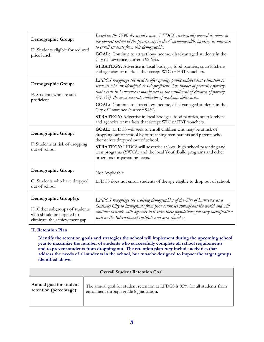| Demographic Group:<br>D. Students eligible for reduced<br>price lunch                                                 | Based on the 1990 decennial census, LFDCS strategically opened its doors in<br>the poorest section of the poorest city in the Commonwealth, focusing its outreach<br>to enroll students from this demographic.<br>GOAL: Continue to attract low-income, disadvantaged students in the<br>City of Lawrence (current: 92.6%).<br><b>STRATEGY:</b> Advertise in local bodegas, food pantries, soup kitchens<br>and agencies or markets that accept WIC or EBT vouchers. |
|-----------------------------------------------------------------------------------------------------------------------|----------------------------------------------------------------------------------------------------------------------------------------------------------------------------------------------------------------------------------------------------------------------------------------------------------------------------------------------------------------------------------------------------------------------------------------------------------------------|
| Demographic Group:<br>E. Students who are sub-<br>proficient                                                          | LFDCS recognizes the need to offer quality public independent education to<br>students who are identified as sub-proficient. The impact of pervasive poverty<br>that exists in Lawrence is manifested in the enrollment of children of poverty<br>$(94.5\%)$ , the most accurate indicator of academic deficiencies.                                                                                                                                                 |
|                                                                                                                       | <b>GOAL:</b> Continue to attract low-income, disadvantaged students in the<br>City of Lawrence (current: 94%).<br><b>STRATEGY:</b> Advertise in local bodegas, food pantries, soup kitchens<br>and agencies or markets that accept WIC or EBT vouchers.                                                                                                                                                                                                              |
| Demographic Group:<br>F. Students at risk of dropping<br>out of school                                                | GOAL: LFDCS will seek to enroll children who may be at risk of<br>dropping out of school by outreaching teen parents and parents who<br>themselves dropped out of school.<br>STRATEGY: LFDCS will advertise at local high school parenting and<br>teen programs (YWCA) and the local YouthBuild programs and other<br>programs for parenting teens.                                                                                                                  |
| Demographic Group:<br>G. Students who have dropped<br>out of school                                                   | Not Applicable<br>LFDCS does not enroll students of the age eligible to drop out of school.                                                                                                                                                                                                                                                                                                                                                                          |
| Demographic Group(s):<br>H. Other subgroups of students<br>who should be targeted to<br>eliminate the achievement gap | LFDCS recognizes the evolving demographics of the City of Lawrence as a<br>Gateway City to immigrants from poor countries throughout the world and will<br>continue to work with agencies that serve these populations for early identification<br>such as the International Institute and area churches.                                                                                                                                                            |

#### **II. Retention Plan**

**Identify the retention goals and strategies the school will implement during the upcoming school year to maximize the number of students who successfully complete all school requirements and to prevent students from dropping out. The retention plan may include activities that**  address the needs of all students in the school, but *must* be designed to impact the target groups **identified above.**

| <b>Overall Student Retention Goal</b> |                                                                             |  |  |
|---------------------------------------|-----------------------------------------------------------------------------|--|--|
| Annual goal for student               | The annual goal for student retention at LFDCS is 95% for all students from |  |  |
| retention (percentage):               | enrollment through grade 8 graduation.                                      |  |  |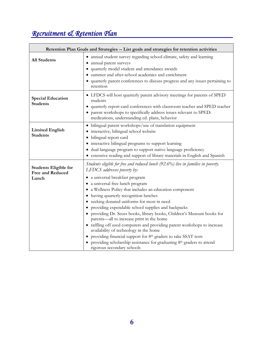# *Recruitment & Retention Plan*

|                                                                  | Retention Plan Goals and Strategies -- List goals and strategies for retention activities                                                                                                                                                                                                                                                                                                                                                                                                                                                                                                                                                                                                                                                                                                                                                                                  |
|------------------------------------------------------------------|----------------------------------------------------------------------------------------------------------------------------------------------------------------------------------------------------------------------------------------------------------------------------------------------------------------------------------------------------------------------------------------------------------------------------------------------------------------------------------------------------------------------------------------------------------------------------------------------------------------------------------------------------------------------------------------------------------------------------------------------------------------------------------------------------------------------------------------------------------------------------|
| <b>All Students</b>                                              | • annual student survey regarding school climate, safety and learning<br>• annual parent surveys<br>• quarterly model student and attendance awards<br>summer and after-school academics and enrichment<br>• quarterly parent conferences to discuss progress and any issues pertaining to<br>retention                                                                                                                                                                                                                                                                                                                                                                                                                                                                                                                                                                    |
| <b>Special Education</b><br><b>Students</b>                      | • LFDCS will host quarterly parent advisory meetings for parents of SPED<br>students<br>• quarterly report card conferences with classroom teacher and SPED teacher<br>• parent workshops to specifically address issues relevant to SPED:<br>medications, understanding ed. plans, behavior                                                                                                                                                                                                                                                                                                                                                                                                                                                                                                                                                                               |
| <b>Limited English</b><br><b>Students</b>                        | · bilingual parent workshops/use of translation equipment<br>· interactive, bilingual school website<br>· bilingual report card<br>• interactive bilingual programs to support learning<br>· dual-language program to support native language proficiency<br>• extensive reading and support of library materials in English and Spanish                                                                                                                                                                                                                                                                                                                                                                                                                                                                                                                                   |
| <b>Students Eligible for</b><br><b>Free and Reduced</b><br>Lunch | Students eligible for free and reduced lunch (92.6%) live in families in poverty.<br>LFDCS addresses poverty by:<br>· a universal breakfast program<br>a universal free lunch program<br>$\bullet$<br>• a Wellness Policy that includes an education component<br>• having quarterly recognition lunches<br>• seeking donated uniforms for most in need<br>providing expendable school supplies and backpacks<br>providing Dr. Seuss books, library books, Children's Museum books for<br>$\bullet$<br>parents—all to increase print in the home<br>• raffling off used computers and providing parent workshops to increase<br>availability of technology in the home<br>providing financial support for 8th graders to take SSAT tests<br>$\bullet$<br>• providing scholarship assistance for graduating 8 <sup>th</sup> graders to attend<br>rigorous secondary schools |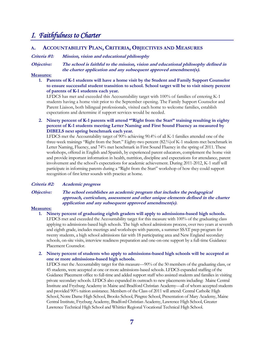### *I. Faithfulness to Charter*

#### **A. ACCOUNTABILITY PLAN, CRITERIA, OBJECTIVES AND MEASURES**

#### **Criteria #1: Mission, vision and educational philosophy**

**Objective: The school is faithful to the mission, vision and educational philosophy defined in the charter application and any subsequent approved amendment(s).** 

#### **Measures:**

**1. Parents of K-1 students will have a home visit by the Student and Family Support Counselor to ensure successful student transition to school. School target will be to visit ninety percent of parents of K-1 students each year.** 

LFDCS has met and exceeded this Accountability target with 100% of families of entering K-1 students having a home visit prior to the September opening. The Family Support Counselor and Parent Liaison, both bilingual professionals, visited each home to welcome families, establish expectations and determine if support services would be needed.

**2. Ninety percent of K-1 parents will attend "'Right from the Start" training resulting in eighty percent of K-1 students meeting Letter Naming and First Sound Fluency as measured by DIBELS next spring benchmark each year.** 

LFDCS met the Accountability target of 90% achieving 90.4% of all K-1 families attended one of the three-week trainings "Right from the Start." Eighty-two percent (82.%)of K-1 students met benchmark in Letter Naming, Fluency, and 74% met benchmark in First Sound Fluency in the spring of 2011. These workshops, offered in English and Spanish, by experienced parent educators, complement the home visit and provide important information in health, nutrition, discipline and expectations for attendance, parent involvement and the school's expectations for academic achievement. During 2011-2012, K-1 staff will participate in informing parents during a "Right from the Start" workshop of how they could support recognition of first letter sounds with practice at home.

#### **Criteria #2: Academic progress**

#### **Objective: The school establishes an academic program that includes the pedagogical approach, curriculum, assessment and other unique elements defined in the charter application and any subsequent approved amendment(s).**

#### **Measures:**

**1. Ninety percent of graduating eighth graders will apply to admissions-based high schools.**  LFDCS met and exceeded the Accountability target for this measure with 100% of the graduating class applying to admissions-based high schools. The high school admissions process, over two years at seventh and eighth grade, includes meetings and workshops with parents, a summer SSAT prep program for twenty students, a high school admissions fair with 18 participating area and New England secondary schools, on-site visits, interview readiness preparation and one-on-one support by a full-time Guidance Placement Counselor.

#### **2. Ninety percent of students who apply to admissions-based high schools will be accepted at one or more admissions-based high schools.**

LFDCS met the Accountability target for this measure—90% of the 50 members of the graduating class, or 45 students, were accepted at one or more admissions-based schools. LFDCS expanded staffing of the Guidance Placement office to full-time and added support staff who assisted students and families in visiting private secondary schools. LFDCS also expanded its outreach to new placements including: Maine Central Institute and Fryeburg Academy in Maine and Bradford Christian Academy—all of whom accepted students and provided 90% tuition assistance. Members of the Class of 2011 will attend: Central Catholic High School, Notre Dame High School, Brooks School, Pingree School, Presentation of Mary Academy, Maine Central Institute, Fryeburg Academy, Bradford Christian Academy, Lawrence High School, Greater Lawrence Technical High School and Whittier Regional Vocational Technical High School.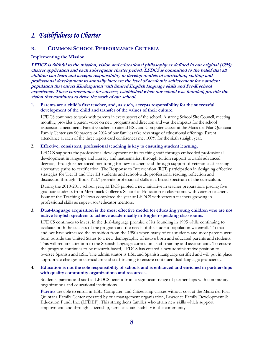# *I. Faithfulness to Charter*

#### **B. COMMON SCHOOL PERFORMANCE CRITERIA**

#### **Implementing the Mission**

**LFDCS is faithful to the mission, vision and educational philosophy as defined in our original (1995) charter application and each subsequent charter period. LFDCS is committed to the belief that all children can learn and accepts responsibility to develop models of curriculum, staffing and professional development to annually increase the level of academic achievement for a student population that enters Kindergarten with limited English language skills and Pre-K school experience. These cornerstones for success, established when our school was founded, provide the vision that continues to drive the work of our school.** 

#### **1. Parents are a child's first teacher, and, as such, accepts responsibility for the successful development of the child and transfer of the values of their culture.**

LFDCS continues to work with parents in every aspect of the school. A strong School Site Council, meeting monthly, provides a parent voice on new programs and direction and was the impetus for the school expansion amendment. Parent vouchers to attend ESL and Computer classes at the Maria del Pilar Quintana Family Center saw 90 parents or 20% of our families take advantage of educational offerings. Parent attendance at each of the three report card conferences met 100% for the sixth straight year.

#### **2. Effective, consistent, professional teaching is key to ensuring student learning.**

LFDCS supports the professional development of its teaching staff through embedded professional development in language and literacy and mathematics, through tuition support towards advanced degrees, through experienced mentoring for new teachers and through support of veteran staff seeking alternative paths to certification. The Response to Intervention (RTI) participation in designing effective strategies for Tier II and Tier III students and school-wide professional reading, reflection and discussion through "Book Talk" provide professional skills in a broad spectrum of the curriculum. During the 2010-2011 school year, LFDCS piloted a new initiative in teacher preparation, placing five graduate students from Merrimack College's School of Education in classrooms with veteran teachers. Four of the Teaching Fellows completed the year at LFDCS with veteran teachers growing in professional skills as supervisor/educator mentors.

#### **3. Dual-language acquisition is the most effective model for educating young children who are not native English speakers to achieve academically in English-speaking classrooms.**

LFDCS continues to invest in the dual-language promise of its founding in 1995 while continuing to evaluate both the success of the program and the needs of the student population we enroll. To that end, we have witnessed the transition from the 1990s when many of our students and most parents were born outside the United States to a new demographic of native born and educated parents and students. This will require attention to the Spanish language curriculum, staff training and assessments. To ensure the program continues to be research-based, LFDCS has created a new administrative position to oversee Spanish and ESL. The administrator is ESL and Spanish Language certified and will put in place appropriate changes in curriculum and staff training to ensure continued dual-language proficiency.

#### **4. Education is not the sole responsibility of schools and is enhanced and enriched in partnerships with quality community organizations and resources.**

Students, parents and staff at LFDCS benefit from a significant range of partnerships with community organizations and educational institutions.

**Parents** are able to enroll in ESL, Computer, and Citizenship classes without cost at the Maria del Pilar Quintana Family Center operated by our management organization, Lawrence Family Development & Education Fund, Inc. (LFDEF). This strengthens families who attain new skills which support employment, and through citizenship, families attain stability in the community.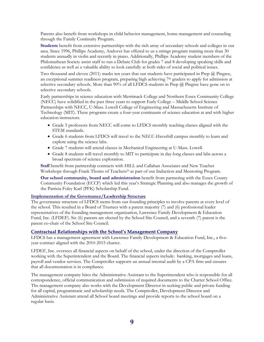Parents also benefit from workshops in child behavior management, home management and counseling through the Family Continuity Program.

**Students** benefit from extensive partnerships with the rich array of secondary schools and colleges in our area. Since 1996, Phillips Academy, Andover has offered to us a strings program training more than 30 students annually in violin and recently in piano. Additionally, Phillips Academy student members of the Philomathean Society assist staff to run a Debate Club for grades 7 and 8 developing speaking skills and confidence as well as a valuable ability to look carefully at both sides of social and political issues.

Two thousand and eleven (2011) marks ten years that our students have participated in Prep @ Pingree, an exceptional summer readiness program, preparing high achieving 7th graders to apply for admission at selective secondary schools. More than 90% of all LFDCS students in Prep @ Pingree have gone on to selective secondary schools.

Early partnerships in science education with Merrimack College and Northern Essex Community College (NECC) have solidified in the past three years to support Early College – Middle School Science Partnerships with NECC, U-Mass. Lowell College of Engineering and Massachusetts Institute of Technology (MIT). These programs create a four-year continuum of science education at and with higher education instructors.

- Grade 5 professors from NECC will come to LFDCS monthly teaching classes aligned with the STEM standards.
- Grade 6 students from LFDCS will travel to the NECC-Haverhill campus monthly to learn and explore using the science labs.
- Grade 7 students will attend classes in Mechanical Engineering at U-Mass. Lowell.
- Grade 8 students will travel monthly to MIT to participate in day-long classes and labs across a broad spectrum of science exploration.

**Staff** benefit from partnership contracts with HILL and Callahan Associates and New Teacher Workshops through Frank Thoms of Teachers<sup>21</sup> as part of our Induction and Mentoring Program.

**Our school community, board and administration** benefit from partnering with the Essex County Community Foundation (ECCF) which led this year's Strategic Planning and also manages the growth of the Patricia Foley Karl (PFK) Scholarship Fund.

#### **Implementation of the Governance/Leadership Structure**

The governance structure of LFDCS stems from our founding principles to involve parents at every level of the school. This resulted in a Board of Trustees with a parent majority (7) and (6) professional leader representatives of the founding management organization, Lawrence Family Development & Education Fund, Inc. (LFDEF). Six (6) parents are elected by the School Site Council, and a seventh (7) parent is the parent co-chair of the School Site Council.

#### **Contractual Relationships with the School's Management Company**

LFDCS has a management agreement with Lawrence Family Development & Education Fund, Inc., a fiveyear contract aligned with the 2010-2015 charter.

LFDEF, Inc. oversees all financial aspects on behalf of the school, under the direction of the Comptroller working with the Superintendent and the Board. The financial aspects include: banking, mortgages and loans, payroll and vendor services. The Comptroller supports an annual internal audit by a CPA firm and ensures that all documentation is in compliance.

The management company hires the Administrative Assistant to the Superintendent who is responsible for all correspondence, official communication and submission of required documents to the Charter School Office. The management company also works with the Development Director in seeking public and private funding for all capital, programmatic and scholarship needs. The Comptroller, Development Director and Administrative Assistant attend all School board meetings and provide reports to the school board on a regular basis.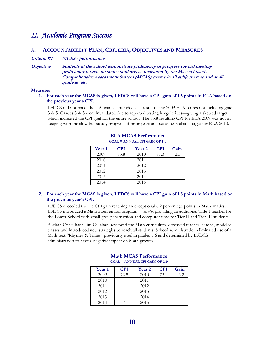### *II. Academic Program Success*

#### **A. ACCOUNTABILITY PLAN, CRITERIA, OBJECTIVES AND MEASURES**

**Criteria #1: MCAS - performance** 

**Objective: Students at the school demonstrate proficiency or progress toward meeting proficiency targets on state standards as measured by the Massachusetts Comprehensive Assessment System (MCAS) exams in all subject areas and at all grade levels.** 

#### **Measures:**

#### **1. For each year the MCAS is given, LFDCS will have a CPI gain of 1.5 points in ELA based on the previous year's CPI.**

LFDCS did not make the CPI gain as intended as a result of the 2009 ELA scores not including grades 3 & 5. Grades 3 & 5 were invalidated due to reported testing irregularities—giving a skewed target which increased the CPI goal for the entire school. The 83.8 resulting CPI for ELA 2009 was not in keeping with the slow but steady progress of prior years and set an unrealistic target for ELA 2010.

| <b>Year 1</b> | <b>CPI</b>               | <b>Year 2</b> | <b>CPI</b> | Gain   |
|---------------|--------------------------|---------------|------------|--------|
| 2009          | 83.8                     | 2010          | 81.3       | $-2.5$ |
| 2010          |                          | 2011          |            |        |
| 2011          |                          | 2012          |            |        |
| 2012          |                          | 2013          |            |        |
| 2013          |                          | 2014          |            |        |
| 2014          | $\overline{\phantom{0}}$ | 2015          |            |        |

#### **ELA MCAS Performance GOAL = ANNUAL CPI GAIN OF 1.5**

#### **2. For each year the MCAS is given, LFDCS will have a CPI gain of 1.5 points in Math based on the previous year's CPI.**

LFDCS exceeded the 1.5 CPI gain reaching an exceptional 6.2 percentage points in Mathematics. LFDCS introduced a Math intervention program *V-Math*, providing an additional Title 1 teacher for the Lower School with small group instruction and computer time for Tier II and Tier III students.

A Math Consultant, Jim Callahan, reviewed the Math curriculum, observed teacher lessons, modeled classes and introduced new strategies to reach all students. School administration eliminated use of a Math text "Rhymes & Times" previously used in grades 1-6 and determined by LFDCS administration to have a negative impact on Math growth.

| <b>Year 1</b> | <b>CPI</b> | <b>Year 2</b> | <b>CPI</b> | Gain   |
|---------------|------------|---------------|------------|--------|
| 2009          | 72.9       | 2010          | 79.1       | $+6.2$ |
| 2010          |            | 2011          |            |        |
| 2011          |            | 2012          |            |        |
| 2012          |            | 2013          |            |        |
| 2013          |            | 2014          |            |        |
| 2014          | $\cdot$    | 2015          |            |        |

#### **Math MCAS Performance GOAL = ANNUAL CPI GAIN OF 1.5**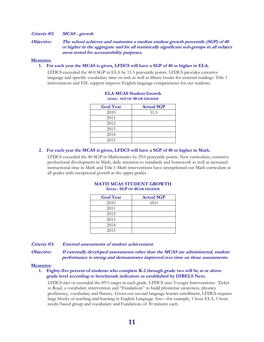#### **Criteria #2: MCAS - growth**

**Objective: The school achieves and maintains a median student growth percentile (SGP) of 40 or higher in the aggregate and for all statistically significant sub-groups in all subject areas tested for accountability purposes.** 

#### **Measures:**

#### **1. For each year the MCAS is given, LFDCS will have a SGP of 40 or higher in ELA.**

LFDCS exceeded the 40.0 SGP in ELA by 11.5 percentile points. LFDCS provides extensive language and specific vocabulary time on task as well as library books for external readings. Title 1 interventions and ESL support improve English language competencies for our students.

| <b>Goal Year</b> | <b>Actual SGP</b> |
|------------------|-------------------|
| 2010             | 51.5              |
| 2011             |                   |
| 2012             |                   |
| 2013             |                   |
| 2014             |                   |
| 2015             |                   |

#### **ELA MCAS Student Growth GOAL: SGP OF 40 OR HIGHER**

#### **2. For each year the MCAS is given, LFDCS will have a SGP of 40 or higher in Math.**

LFDCS exceeded the 40 SGP in Mathematics by 29.0 percentile points. New curriculum, extensive professional development in Math, daily attention to standards and homework as well as increased instructional time in Math and Title 1 Math interventions have strengthened our Math curriculum at all grades with exceptional growth at the upper grades.

| <b>Goal Year</b> | <b>Actual SGP</b> |
|------------------|-------------------|
| 2010             | 69.0              |
| 2011             |                   |
| 2012             |                   |
| 2013             |                   |
| 2014             |                   |
| 2015             |                   |

#### **MATH MCAS STUDENT GROWTH GOAL: SGP OF 40 OR HIGHER**

**Criteria #3: External assessments of student achievement** 

**Objective: If externally developed assessments other than the MCAS are administered, student performance is strong and demonstrates improved over time on those assessments.** 

#### **Measures:**

#### **1. Eighty-five percent of students who complete K-2 through grade two will be at or above grade level according to benchmark indicators as established by DIBELS Next.**

LFDCS met or exceeded the 85% target in each grade. LFDCS uses Voyager Interventions: Ticket to Read, a vocabulary intervention and "Fundations" to build phonemic awareness, phonics proficiency, vocabulary and fluency. Given our second language learner enrollment, LFDCS requires large blocks of teaching and learning in English Language Arts—for example, 1 hour ELA, 1 hour needs/based group and vocabulary and Fundations of 30 minutes each.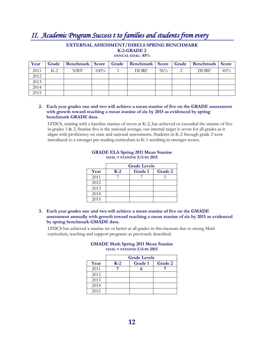# *II. Academic Program Success t to families and students from every*

#### **EXTERNAL ASSESSMENT/DIBELS SPRING BENCHMARK K-2-GRADE 2**

**ANNUAL GOAL: 85%** 

| Year |       |            |         | Grade   Benchmark   Score   Grade   Benchmark   Score   Grade   Benchmark   Score |        |             |     |
|------|-------|------------|---------|-----------------------------------------------------------------------------------|--------|-------------|-----|
| 2011 | $K-2$ | <b>NWF</b> | $100\%$ | <b>DORF</b>                                                                       | $96\%$ | <b>DORF</b> | 85% |
| 2012 |       |            |         |                                                                                   |        |             |     |
| 2013 |       |            |         |                                                                                   |        |             |     |
| 2014 |       |            |         |                                                                                   |        |             |     |
| 2015 |       |            |         |                                                                                   |        |             |     |

#### **2. Each year grades one and two will achieve a mean stanine of five on the GRADE assessment with growth toward reaching a mean stanine of six by 2015 as evidenced by spring benchmark GRADE data.**

LFDCS, starting with a baseline stanine of seven at K-2, has achieved or exceeded the stanine of five in grades 1 & 2. Stanine five is the national average; our internal target is seven for all grades as it aligns with proficiency on state and national assessments. Students in K-2 through grade 2 were introduced to a stronger pre-reading curriculum in K-1 resulting in stronger scores.

|      | <b>Grade Levels</b> |         |         |  |  |  |
|------|---------------------|---------|---------|--|--|--|
| Year | $K-2$               | Grade 1 | Grade 2 |  |  |  |
| 2011 |                     |         |         |  |  |  |
| 2012 |                     |         |         |  |  |  |
| 2013 |                     |         |         |  |  |  |
| 2014 |                     |         |         |  |  |  |
| 2015 |                     |         |         |  |  |  |

#### **GRADE ELA Spring 2011 Mean Stanine GOAL = STANINE 5/6 BY 2015**

**3. Each year grades one and two will achieve a mean stanine of five on the GMADE assessment annually with growth toward reaching a mean stanine of six by 2015 as evidenced by spring benchmark GMADE data.** 

LFDCS has achieved a stanine six or better at all grades in this measure due to strong Math curriculum, teaching and support programs as previously described.

#### **GMADE Math Spring 2011 Mean Stanine GOAL = STANINE 5/6 BY 2015**

|      | <b>Grade Levels</b> |         |         |  |  |  |
|------|---------------------|---------|---------|--|--|--|
| Year | $K-2$               | Grade 1 | Grade 2 |  |  |  |
| 2011 |                     |         |         |  |  |  |
| 2012 |                     |         |         |  |  |  |
| 2013 |                     |         |         |  |  |  |
| 2014 |                     |         |         |  |  |  |
| 2015 |                     |         |         |  |  |  |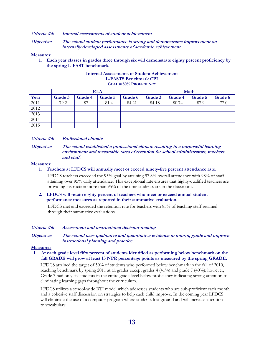#### **Criteria #4: Internal assessments of student achievement**

**Objective: The school student performance is strong and demonstrates improvement on internally developed assessments of academic achievement.** 

#### **Measures:**

**1. Each year classes in grades three through six will demonstrate eighty percent proficiency by the spring L-FAST benchmark.** 

#### **Internal Assessments of Student Achievement L-FASTS Benchmark CPI GOAL = 80% PROFICIENCY**

|      |         | <b>ELA</b> |         |         | Math    |         |         |         |
|------|---------|------------|---------|---------|---------|---------|---------|---------|
| Year | Grade 3 | Grade 4    | Grade 5 | Grade 6 | Grade 3 | Grade 4 | Grade 5 | Grade 6 |
| 2011 | 79.2    | 87         | 81.4    | 84.21   | 84.18   | 80.74   | 87.9    | 77.0    |
| 2012 |         |            |         |         |         |         |         |         |
| 2013 |         |            |         |         |         |         |         |         |
| 2014 |         |            |         |         |         |         |         |         |
| 2015 |         |            |         |         |         |         |         |         |

#### **Criteria #5: Professional climate**

#### **Objective: The school established a professional climate resulting in a purposeful learning environment and reasonable rates of retention for school administrators, teachers and staff.**

#### **Measures:**

**1. Teachers at LFDCS will annually meet or exceed ninety-five percent attendance rate.** 

LFDCS teachers exceeded the 95% goal by attaining 97.8% overall attendance with 98% of staff attaining over 95% daily attendance. This exceptional rate ensures that highly-qualified teachers are providing instruction more than 95% of the time students are in the classroom.

#### **2. LFDCS will retain eighty percent of teachers who meet or exceed annual student performance measures as reported in their summative evaluation.**

LFDCS met and exceeded the retention rate for teachers with 85% of teaching staff retained through their summative evaluations.

#### **Criteria #6: Assessment and instructional decision-making**

**Objective: The school uses qualitative and quantitative evidence to inform, guide and improve instructional planning and practice.** 

#### **Measures:**

#### **1. At each grade level fifty percent of students identified as performing below benchmark on the fall GRADE will grow at least 13 NPR percentage points as measured by the spring GRADE.**

LFDCS attained the target of 50% of students who performed below benchmark in the fall of 2010, reaching benchmark by spring 2011 at all grades except grades 4 (41%) and grade 7 (40%); however, Grade 7 had only six students in the entire grade level below proficiency indicating strong attention to eliminating learning gaps throughout the curriculum.

LFDCS utilizes a school-wide RTI model which addresses students who are sub-proficient each month and a cohesive staff discussion on strategies to help each child improve. In the coming year LFDCS will eliminate the use of a computer program where students lost ground and will increase attention to vocabulary.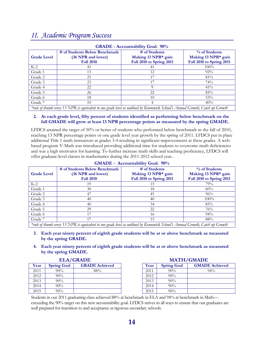### *II. Academic Program Success*

| <b>GRADE - Accountability Goal: 90%</b> |                                                                                                                           |                                                                  |                                                                  |  |  |  |
|-----------------------------------------|---------------------------------------------------------------------------------------------------------------------------|------------------------------------------------------------------|------------------------------------------------------------------|--|--|--|
| <b>Grade Level</b>                      | # of Students Below Benchmark<br>(36 NPR and lower)<br><b>Fall 2010</b>                                                   | # of Students<br>Making 13 NPR* gain<br>Fall 2010 to Spring 2011 | % of Students<br>Making 13 NPR* gain<br>Fall 2010 to Spring 2011 |  |  |  |
| $K-2$                                   | 41                                                                                                                        | 41                                                               | $100\%$                                                          |  |  |  |
| Grade 1                                 | 13                                                                                                                        | 12                                                               | $92\%$                                                           |  |  |  |
| Grade 2                                 | 21                                                                                                                        |                                                                  | 81%                                                              |  |  |  |
| Grade 3                                 | 23                                                                                                                        |                                                                  | 74%                                                              |  |  |  |
| Grade 4                                 | 22                                                                                                                        |                                                                  | 41%                                                              |  |  |  |
| Grade 5                                 | 26                                                                                                                        | 22                                                               | 85%                                                              |  |  |  |
| Grade 6                                 | 18                                                                                                                        | 10                                                               | $55\%$                                                           |  |  |  |
| Grade 7                                 | 10                                                                                                                        |                                                                  | 40%                                                              |  |  |  |
|                                         | $*$ will of the underground to compare the case and level as outlined by Kommunich School's Annual County Catch wh County |                                                                  |                                                                  |  |  |  |

*\*rule of thumb every 13 NPR is equivalent to one grade level as outlined by Kennewick School's Annual Growth, Catch up Growth* 

#### **2. At each grade level, fifty percent of students identified as performing below benchmark on the fall GMADE will grow at least 13 NPR percentage points as measured by the spring GMADE.**

LFDCS attained the target of 50% or better of students who performed below benchmark in the fall of 2010, reaching 13 NPR percentage points or one grade level year growth by the spring of 2011. LFDCS put in place additional Title 1 math instructors at grades 3-4 resulting in significant improvements at these grades. A webbased program V-Math was introduced providing additional time for students to overcome math deficiencies and was a high motivator for learning. To further increase math skills and teaching proficiency, LFDCS will offer graduate-level classes in mathematics during the 2011-2012 school year..

|                                                                                                                                 |                                                     | $\mathbf{U}$ MIXDL - IXCOUIRADHRY UVAI, 2070 |                                      |  |  |  |  |
|---------------------------------------------------------------------------------------------------------------------------------|-----------------------------------------------------|----------------------------------------------|--------------------------------------|--|--|--|--|
| <b>Grade Level</b>                                                                                                              | # of Students Below Benchmark<br>(36 NPR and lower) | # of Students<br>Making 13 NPR* gain         | % of Students<br>Making 13 NPR* gain |  |  |  |  |
|                                                                                                                                 | <b>Fall 2010</b>                                    | Fall 2010 to Spring 2011                     | Fall 2010 to Spring 2011             |  |  |  |  |
| $K-2$                                                                                                                           | 19                                                  | 15                                           | 79%                                  |  |  |  |  |
| Grade 1                                                                                                                         | 30                                                  | 18                                           | 60%                                  |  |  |  |  |
| Grade 2                                                                                                                         | 47                                                  | 45                                           | 96%                                  |  |  |  |  |
| Grade 3                                                                                                                         | 40                                                  | 40                                           | $100\%$                              |  |  |  |  |
| Grade 4                                                                                                                         | 40                                                  | 34                                           | 85%                                  |  |  |  |  |
| Grade 5                                                                                                                         | 29                                                  | 22                                           | 76%                                  |  |  |  |  |
| Grade 6                                                                                                                         | 17                                                  | 16                                           | $94\%$                               |  |  |  |  |
| Grade 7                                                                                                                         | 17                                                  | 15                                           | 88%                                  |  |  |  |  |
| $*$ will of thumb even 13 NDR is equivalent to one grade level as outlined by Kennenvick School's Annual Crowth Catch up Crowth |                                                     |                                              |                                      |  |  |  |  |

**GMADE - Accountability Goal: 90%** 

*\*rule of thumb every 13 NPR is equivalent to one grade level as outlined by Kennewick School's Annual Growth, Catch up Growth* 

- **3. Each year ninety percent of eighth grade students will be at or above benchmark as measured by the spring GRADE.**
- **4. Each year ninety percent of eighth grade students will be at or above benchmark as measured by the spring GMADE.**

|      |                    | <b>ELA/GRADE</b>      |      |                    | <b>MATH/GMADE</b>     |
|------|--------------------|-----------------------|------|--------------------|-----------------------|
| Year | <b>Spring Goal</b> | <b>GRADE Achieved</b> | Year | <b>Spring Goal</b> | <b>GMADE Achieved</b> |
| 2011 | $90\%$             | 88%                   | 2011 | 90%                | $94\%$                |
| 2012 | $90\%$             |                       | 2012 | 90%                |                       |
| 2013 | $90\%$             |                       | 2013 | 90%                |                       |
| 2014 | $90\%$             |                       | 2014 | 90%                |                       |
| 2015 | $90\%$             |                       | 2015 | 90%                |                       |

| Year | <b>Spring Goal</b> | <b>GMADE Achieved</b> |
|------|--------------------|-----------------------|
| 2011 | $90\%$             | $94\%$                |
| 2012 | $90\%$             |                       |
| 2013 | $90\%$             |                       |
| 2014 | $90\%$             |                       |
| 2015 | $90\%$             |                       |

Students in our 2011 graduating class achieved 88% at benchmark in ELA and 94% at benchmark in Math exceeding the 90% target on this new accountability goal. LFDCS strives in all ways to ensure that our graduates are well prepared for transition to and acceptance at rigorous secondary schools.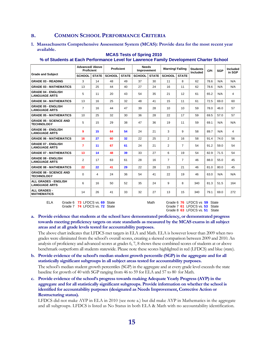#### **B. COMMON SCHOOL PERFORMANCE CRITERIA**

**1. Massachusetts Comprehensive Assessment System (MCAS): Provide data for the most recent year available.** 

|                                                     | <b>Advanced/ Above</b><br><b>Proficient</b> |              | <b>Needs</b><br><b>Proficient</b><br>Improvement |              | <b>Warning/Failing</b> |              | <b>Students</b><br>Included | <b>CPI</b>     | <b>SGP</b> | Included<br>in SGP |      |     |
|-----------------------------------------------------|---------------------------------------------|--------------|--------------------------------------------------|--------------|------------------------|--------------|-----------------------------|----------------|------------|--------------------|------|-----|
| <b>Grade and Subject</b>                            | <b>SCHOOL</b>                               | <b>STATE</b> | <b>SCHOOL</b>                                    | <b>STATE</b> | <b>SCHOOL</b>          | <b>STATE</b> | <b>SCHOOL</b>               | <b>STATE</b>   |            |                    |      |     |
| <b>GRADE 03 - READING</b>                           | 3                                           | 14           | 48                                               | 49           | 37                     | 30           | 11                          | 8              | 62         | 78.6               | N/A  | N/A |
| <b>GRADE 03 - MATHEMATICS</b>                       | 13                                          | 25           | 44                                               | 40           | 27                     | 24           | 16                          | 11             | 62         | 78.6               | N/A  | N/A |
| <b>GRADE 04 - ENGLISH</b><br><b>LANGUAGE ARTS</b>   | 5                                           | 11           | 20                                               | 43           | 54                     | 35           | 21                          | 12             | 61         | 65.2               | N/A  | 4   |
| <b>GRADE 04 - MATHEMATICS</b>                       | 13                                          | 16           | 25                                               | 32           | 48                     | 41           | 15                          | 11             | 61         | 72.5               | 69.0 | 60  |
| <b>GRADE 05 - ENGLISH</b><br><b>LANGUAGE ARTS</b>   | $\overline{7}$                              | 16           | 44                                               | 47           | 39                     | 28           | 10                          | 10             | 59         | 78.0               | 46.0 | 57  |
| <b>GRADE 05 - MATHEMATICS</b>                       | 10                                          | 25           | 32                                               | 30           | 36                     | 28           | 22                          | 17             | 59         | 69.5               | 57.0 | 57  |
| <b>GRADE 05 - SCIENCE AND</b><br><b>TECHNOLOGY</b>  | 5                                           | 15           | 29                                               | 38           | 47                     | 36           | 19                          | 11             | 59         | 69.1               | N/A  | N/A |
| <b>GRADE 06 - ENGLISH</b><br><b>LANGUAGE ARTS</b>   | 9                                           | 15           | 64                                               | 54           | 24                     | 21           | 3                           | 9              | 58         | 89.7               | N/A  | 4   |
| <b>GRADE 06 - MATHEMATICS</b>                       | 16                                          | 27           | 60                                               | 32           | 22                     | 25           | $\overline{2}$              | 16             | 58         | 91.4               | 74.0 | 56  |
| <b>GRADE 07 - ENGLISH</b><br><b>LANGUAGE ARTS</b>   | $\overline{7}$                              | 11           | 67                                               | 61           | 24                     | 21           | $\overline{2}$              | $\overline{7}$ | 54         | 91.2               | 59.0 | 54  |
| <b>GRADE 07 - MATHEMATICS</b>                       | 13                                          | 14           | 48                                               | 39           | 33                     | 27           | 6                           | 19             | 54         | 82.9               | 71.5 | 54  |
| <b>GRADE 08 - ENGLISH</b><br><b>LANGUAGE ARTS</b>   | 2                                           | 17           | 63                                               | 61           | 28                     | 16           | $\overline{7}$              | $\overline{7}$ | 46         | 88.0               | 55.0 | 45  |
| <b>GRADE 08 - MATHEMATICS</b>                       | 22                                          | 22           | 41                                               | 29           | 22                     | 28           | 15                          | 21             | 46         | 81.0               | 80.0 | 45  |
| <b>GRADE 08 - SCIENCE AND</b><br><b>TECHNOLOGY</b>  | $\Omega$                                    | 4            | 24                                               | 36           | 54                     | 41           | 22                          | 19             | 46         | 63.0               | N/A  | N/A |
| <b>ALL GRADES - ENGLISH</b><br><b>LANGUAGE ARTS</b> | 6                                           | 16           | 50                                               | 52           | 35                     | 24           | 9                           | 8              | 340        | 81.3               | 51.5 | 164 |
| <b>ALL GRADES -</b><br><b>MATHEMATICS</b>           | 14                                          | 26           | 41                                               | 33           | 32                     | 27           | 13                          | 15             | 340        | 79.1               | 69.0 | 272 |

#### **MCAS Tests of Spring 2010**

#### **% of Students at Each Performance Level for Lawrence Family Development Charter School**

ELA Grade 6 **73** LFDCS vs. **69** State Math Grade 6 **76** LFDCS vs. **59** State Grade 7 **74** LFDCS vs. **72** State Grade 7 **61** LFDCS vs. **53** State Grade 7 **74** LFDCS vs. **72** State Grade 7 **61** LFDCS vs. **53** State Grade 8 **63** LFDCS vs. **51** State

#### **a. Provide evidence that students at the school have demonstrated proficiency, or demonstrated progress towards meeting proficiency targets on state standards as measured by the MCAS exams in all subject areas and at all grade levels tested for accountability purposes.**

The above chart indicates that LFDCS met targets in ELA and Math. ELA is however lower than 2009 when two grades were eliminated from the school's overall scores, creating a skewed comparison between 2009 and 2010. An analysis of proficiency and advanced scores at grades 6, 7, 8 shows these combined scores of students at or above benchmark outperform all students statewide. Please note these scores highlighted in red (LFDCS) and blue (state).

- **b. Provide evidence of the school's median student growth percentile (SGP) in the aggregate and for all statistically significant subgroups in all subject areas tested for accountability purposes.**  The school's median student growth percentiles (SGP) in the aggregate and at every grade level exceeds the state baseline for growth of 40 with SGP ranging from 46 to 59 for ELA and 57 to 80 for Math.
- **c. Provide evidence of the school's progress towards making Adequate Yearly Progress (AYP) in the aggregate and for all statistically significant subgroups. Provide information on whether the school is identified for accountability purposes (designated as Needs Improvement, Corrective Action or Restructuring status).**

 LFDCS did not make AYP in ELA in 2010 (see note a.) but did make AYP in Mathematics in the aggregate and all subgroups. LFDCS is listed as No Status in both ELA & Math with no accountability identification.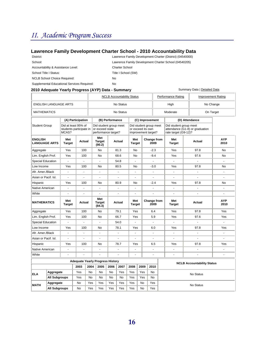# *II. Academic Program Success*

#### **Lawrence Family Development Charter School - 2010 Accountability Data**

| District:                                   | Lawrence Family Development Charter (District) (04540000) |
|---------------------------------------------|-----------------------------------------------------------|
| School:                                     | Lawrence Family Development Charter School (04540205)     |
| Accountability & Assistance Level:          | <b>Charter School</b>                                     |
| School Title I Status:                      | Title I School (SW)                                       |
| <b>NCLB School Choice Required:</b>         | No                                                        |
| Supplemental Educational Services Required: | No.                                                       |

#### **2010 Adequate Yearly Progress (AYP) Data - Summary <b>Network Commany Cata | Detailed Data Summary Data | Detailed Data**

|                                         |                      |                                                         |                | <b>NCLB Accountability Status</b>                                |                                    |      |                                                                    | <b>Performance Rating</b><br><b>Improvement Rating</b> |                |                                                |                                 |                      |                                   |                    |
|-----------------------------------------|----------------------|---------------------------------------------------------|----------------|------------------------------------------------------------------|------------------------------------|------|--------------------------------------------------------------------|--------------------------------------------------------|----------------|------------------------------------------------|---------------------------------|----------------------|-----------------------------------|--------------------|
| <b>ENGLISH LANGUAGE ARTS</b>            |                      |                                                         |                | No Status                                                        |                                    |      |                                                                    | High                                                   |                |                                                | No Change                       |                      |                                   |                    |
| <b>MATHEMATICS</b>                      |                      |                                                         |                | No Status                                                        |                                    |      |                                                                    |                                                        | Moderate       |                                                | On Target                       |                      |                                   |                    |
|                                         |                      | (A) Participation                                       |                |                                                                  | (B) Performance<br>(C) Improvement |      |                                                                    |                                                        | (D) Attendance |                                                |                                 |                      |                                   |                    |
| <b>Student Group</b>                    |                      | Did at least 95% of<br>students participate in<br>MCAS? |                | Did student group meet<br>or exceed state<br>performance target? |                                    |      | Did student group meet<br>or exceed its own<br>improvement target? |                                                        |                | Did student group meet<br>rate target (G9-12)? | attendance (G1-8) or graduation |                      |                                   |                    |
| <b>ENGLISH</b><br><b>LANGUAGE ARTS</b>  |                      | Met<br><b>Target</b>                                    | Actual         |                                                                  | Met<br><b>Target</b><br>(90.2)     |      | Actual                                                             | Met<br><b>Target</b>                                   |                | 2009                                           | Change from                     | Met<br><b>Target</b> | Actual                            | <b>AYP</b><br>2010 |
| Aggregate                               |                      | Yes                                                     | 100            |                                                                  | No                                 |      | 81.3                                                               | No                                                     |                | $-2.3$                                         |                                 | Yes                  | 97.8                              | <b>No</b>          |
| Lim. English Prof.                      |                      | Yes                                                     | 100            |                                                                  | <b>No</b>                          |      | 68.6                                                               | No                                                     |                | $-9.4$                                         |                                 | Yes                  | 97.6                              | <b>No</b>          |
| <b>Special Education</b>                |                      | $\overline{a}$                                          | $\sim$         |                                                                  | L.                                 |      | 54.8                                                               | $\overline{a}$                                         |                | $\mathbf{r}$                                   |                                 | $\overline{a}$       | $\mathbf{r}$                      | $\mathbf{r}$       |
| Low Income                              |                      | Yes                                                     | 100            |                                                                  | No                                 |      | 80.5                                                               | No                                                     |                | $-3.0$                                         |                                 | Yes                  | 97.8                              | <b>No</b>          |
| Afr. Amer./Black                        |                      | $\overline{\phantom{a}}$                                | $\sim$         |                                                                  | ÷,                                 |      | ä,                                                                 | $\blacksquare$                                         |                | $\blacksquare$                                 |                                 | $\mathbf{r}$         | $\mathbf{r}$                      | $\omega$           |
| Asian or Pacif. Isl.                    |                      | $\overline{a}$                                          | $\overline{a}$ |                                                                  | ÷,                                 |      | ÷,                                                                 | $\overline{a}$                                         |                | ÷.                                             |                                 | ÷.                   | $\mathbf{r}$                      | ä,                 |
| Hispanic                                |                      | Yes                                                     | 100            |                                                                  | No                                 |      | 80.9                                                               | No                                                     |                | $-2.4$                                         |                                 | Yes                  | 97.8                              | <b>No</b>          |
| Native American                         |                      |                                                         |                |                                                                  | ä,                                 |      |                                                                    | ÷                                                      |                | ÷.                                             |                                 |                      |                                   |                    |
| White                                   |                      |                                                         |                |                                                                  |                                    |      |                                                                    |                                                        |                |                                                |                                 |                      |                                   |                    |
| <b>MATHEMATICS</b>                      |                      | Met<br><b>Target</b>                                    | Actual         |                                                                  | Met<br><b>Target</b><br>(84.3)     |      | <b>Actual</b>                                                      | Met<br><b>Target</b>                                   |                | 2009                                           | Change from                     | Met<br><b>Target</b> | Actual                            | <b>AYP</b><br>2010 |
| Aggregate                               |                      | Yes                                                     | 100            |                                                                  | <b>No</b>                          |      | 79.1                                                               | Yes                                                    |                | 6.4                                            |                                 | Yes                  | 97.8                              | Yes                |
| Lim. English Prof.                      |                      | Yes                                                     | 100            |                                                                  | No                                 |      | 66.7                                                               | Yes                                                    |                | 5.9                                            |                                 | Yes                  | 97.6                              | Yes                |
| <b>Special Education</b>                |                      |                                                         |                |                                                                  |                                    |      | 54.0                                                               |                                                        |                |                                                |                                 |                      |                                   |                    |
| Low Income                              |                      | Yes                                                     | 100            |                                                                  | No                                 |      | 78.1                                                               | Yes                                                    |                | 6.0                                            |                                 | Yes                  | 97.8                              | Yes                |
| Afr. Amer./Black                        |                      | $\overline{a}$                                          | $\overline{a}$ |                                                                  | ÷.                                 |      |                                                                    | $\overline{a}$                                         |                | $\overline{a}$                                 |                                 | $\overline{a}$       | $\overline{a}$                    | ÷                  |
| Asian or Pacif, Isl.                    |                      | ÷.                                                      |                |                                                                  | $\overline{a}$                     |      | $\overline{a}$                                                     |                                                        |                | ä,                                             |                                 |                      | $\overline{a}$                    |                    |
| Hispanic                                |                      | Yes                                                     | 100            |                                                                  | No                                 |      | 78.7                                                               | Yes                                                    |                | 6.5                                            |                                 | Yes                  | 97.8                              | Yes                |
| Native American                         |                      | ä,                                                      | ÷.             |                                                                  | ä,                                 |      | ä,                                                                 |                                                        |                | ÷,                                             |                                 | $\sim$               | $\overline{\phantom{a}}$          | $\overline{a}$     |
| White                                   |                      | ä,                                                      | ä,             |                                                                  | ÷,                                 |      | ÷,                                                                 | $\overline{\phantom{a}}$                               |                | $\blacksquare$                                 |                                 | $\blacksquare$       | $\blacksquare$                    | $\overline{a}$     |
| <b>Adequate Yearly Progress History</b> |                      |                                                         |                |                                                                  |                                    |      |                                                                    |                                                        |                |                                                |                                 |                      |                                   |                    |
|                                         |                      |                                                         | 2003           | 2004                                                             | 2005                               | 2006 | 2007                                                               | 2008                                                   | 2009           | 2010                                           |                                 |                      | <b>NCLB Accountability Status</b> |                    |
| <b>ELA</b>                              | Aggregate            |                                                         | Yes            | <b>No</b>                                                        | No                                 | No   | Yes                                                                | Yes                                                    | Yes            | <b>No</b>                                      |                                 |                      | No Status                         |                    |
|                                         | <b>All Subgroups</b> |                                                         | Yes            | <b>No</b>                                                        | <b>No</b>                          | No   | No                                                                 | Yes                                                    | Yes            | <b>No</b>                                      |                                 |                      |                                   |                    |
| <b>MATH</b>                             | Aggregate            |                                                         | <b>No</b>      | Yes                                                              | Yes                                | Yes  | Yes                                                                | Yes                                                    | <b>No</b>      | Yes                                            |                                 |                      | No Status                         |                    |
|                                         | <b>All Subaroups</b> |                                                         | <b>No</b>      | Yes                                                              | Yes                                | Yes  | Yes                                                                | Yes                                                    | <b>No</b>      | Yes                                            |                                 |                      |                                   |                    |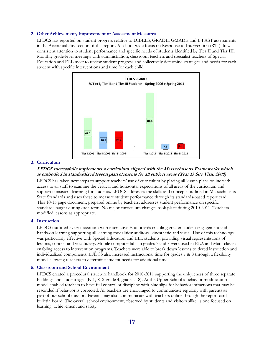#### **2. Other Achievement, Improvement or Assessment Measures**

LFDCS has reported on student progress relative to DIBELS, GRADE, GMADE and L-FAST assessments in the Accountability section of this report. A school-wide focus on Response to Intervention (RTI) drew consistent attention to student performance and specific needs of students identified by Tier II and Tier III. Monthly grade-level meetings with administration, classroom teachers and specialist teachers of Special Education and ELL meet to review student progress and collectively determine strategies and needs for each student with specific interventions and time for each child.



#### **3. Curriculum**

#### **LFDCS successfully implements a curriculum aligned with the Massachusetts Frameworks which is embodied in standardized lesson plan elements for all subject areas (Year 13 Site Visit, 2008)**

 LFDCS has taken next steps to support teachers' use of curriculum by placing all lesson plans online with access to all staff to examine the vertical and horizontal expectations of all areas of the curriculum and support consistent learning for students. LFDCS addresses the skills and concepts outlined in Massachusetts State Standards and uses these to measure student performance through its standards-based report card. This 10-15 page document, prepared online by teachers, addresses student performance on specific standards taught during each term. No major curriculum changes took place during 2010-2011. Teachers modified lessons as appropriate.

#### **4. Instruction**

 LFDCS outfitted every classroom with interactive Eno boards enabling greater student engagement and hands-on learning supporting all learning modalities: auditory, kinesthetic and visual. Use of this technology was particularly effective with Special Education and ELL students, providing visual representations of lessons, context and vocabulary. Mobile computer labs in grades 7 and 8 were used in ELA and Math classes enabling access to intervention programs. Teachers were able to break down lessons to tiered instruction and individualized components. LFDCS also increased instructional time for grades 7 & 8 through a flexibility model allowing teachers to determine student needs for additional time.

#### **5. Classroom and School Environment**

 LFDCS created a procedural structure handbook for 2010-2011 supporting the uniqueness of three separate buildings and student ages (K-1, K-2-grade 4, grades 5-8). At the Upper School a behavior modification model enabled teachers to have full control of discipline with blue slips for behavior infractions that may be rescinded if behavior is corrected. All teachers are encouraged to communicate regularly with parents as part of our school mission. Parents may also communicate with teachers online through the report card bulletin board. The overall school environment, observed by students and visitors alike, is one focused on learning, achievement and safety.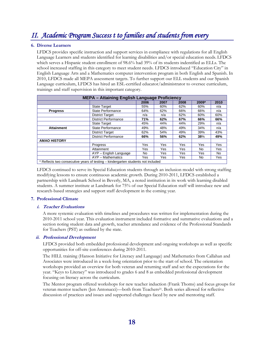# *II. Academic Program Success t to families and students from every*

#### **6. Diverse Learners**

 LFDCS provides specific instruction and support services in compliance with regulations for all English Language Learners and students identified for learning disabilities and/or special education needs. LFDCS which serves a Hispanic student enrollment of 98.6% had 39% of its students indentified as ELLs. The school increased staffing in this category to meet student needs. LFDCS introduced "Education City" in English Language Arts and a Mathematics computer intervention program in both English and Spanish. In 2010, LFDCS made all MEPA assessment targets. To further support our ELL students and our Spanish Language curriculum, LFDCS has hired an ESL-certified educator/administrator to oversee curriculum, trainings and staff supervision in this important category.

| <b>MEPA - Attaining English Language Proficiency</b>                             |                             |      |      |      |       |      |
|----------------------------------------------------------------------------------|-----------------------------|------|------|------|-------|------|
|                                                                                  |                             | 2006 | 2007 | 2008 | 2009* | 2010 |
|                                                                                  | <b>State Target</b>         | 55%  | 60%  | 62%  | 60%   | n/a  |
| <b>Progress</b>                                                                  | State Performance           | 64%  | 62%  | 66%  | 66%   | n/a  |
|                                                                                  | <b>District Target</b>      | n/a  | n/a  | 62%  | 60%   | 60%  |
|                                                                                  | District Performance        | 71%  | 62%  | 67%  | 66%   | 66%  |
|                                                                                  | <b>State Target</b>         | 45%  | 44%  | 44%  | 29%   | n/a  |
| <b>Attainment</b>                                                                | State Performance           | 49%  | 48%  | 49%  | 34%   | n/a  |
|                                                                                  | <b>District Target</b>      | 62%  | 54%  | 49%  | 39%   | 43%  |
|                                                                                  | <b>District Performance</b> | 66%  | 56%  | 62%  | 38%   | 49%  |
| <b>AMAO HISTORY</b>                                                              |                             |      |      |      |       |      |
|                                                                                  | Progress                    | Yes  | Yes  | Yes  | Yes   | Yes  |
|                                                                                  | Attainment                  | Yes  | Yes  | Yes  | No.   | Yes  |
|                                                                                  | AYP - English Language      | No.  | Yes. | Yes  | Yes   | No   |
|                                                                                  | AYP - Mathematics           | Yes  | Yes  | Yes  | No    | Yes  |
| * Reflects two consecutive years of testing – kindergarten students not included |                             |      |      |      |       |      |

LFDCS continued to serve its Special Education students through an inclusion model with strong staffing

modifying lessons to ensure continuous academic growth. During 2010-2011, LFDCS established a partnership with Landmark School in Beverly, MA, a noted institution in its work with learning disabled students. A summer institute at Landmark for 75% of our Special Education staff will introduce new and research-based strategies and support staff development in the coming year.

#### **7. Professional Climate**

#### **i. Teacher Evaluations**

A more systemic evaluation with timelines and procedures was written for implementation during the 2010-2011 school year. This evaluation instrument included formative and summative evaluations and a section noting student data and growth, teacher attendance and evidence of the Professional Standards for Teachers (PST) as outlined by the state.

#### **ii. Professional Development**

 LFDCS provided both embedded professional development and ongoing workshops as well as specific opportunities for off-site conferences during 2010-2011.

 The HILL training (Hanson Initiative for Literacy and Language) and Mathematics from Callahan and Associates were introduced in a week-long orientation prior to the start of school. The orientation workshops provided an overview for both veteran and returning staff and set the expectations for the year. "Keys to Literacy" was introduced to grades 6 and 8 as embedded professional development focusing on literacy across the curriculum.

 The Mentor program offered workshops for new teacher induction (Frank Thoms) and focus groups for veteran mentor teachers (Jen Antonucci)—both from Teachers21. Both series allowed for reflective discussion of practices and issues and supported challenges faced by new and mentoring staff.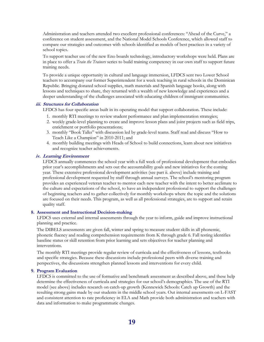Administration and teachers attended two excellent professional conferences: "Ahead of the Curve," a conference on student assessment, and the National Model Schools Conference, which allowed staff to compare our strategies and outcomes with schools identified as models of best practices in a variety of school topics.

 To support teacher use of the new Eno boards technology, introductory workshops were held. Plans are in place to offer a *Train the Trainers* series to build training competency in our own staff to support future training needs.

 To provide a unique opportunity in cultural and language immersion, LFDCS sent two Lower School teachers to accompany our former Superintendent for a week teaching in rural schools in the Dominican Republic. Bringing donated school supplies, math materials and Spanish language books, along with lessons and techniques to share, they returned with a wealth of new knowledge and experiences and a deeper understanding of the challenges associated with educating children of immigrant communities.

#### **iii. Structures for Collaboration**

LFDCS has four specific areas built in its operating model that support collaboration. These include:

- 1. monthly RTI meetings to review student performance and plan implementation strategies;
- 2. weekly grade-level planning to create and improve lesson plans and joint projects such as field trips, enrichment or portfolio presentations;
- 3. monthly "Book Talks" with discussion led by grade-level teams. Staff read and discuss "How to Teach Like a Champion" in 2010-2011; and
- 4. monthly building meetings with Heads of School to build connections, learn about new initiatives and recognize teacher achievements.

#### **iv. Learning Environment**

LFDCS annually commences the school year with a full week of professional development that embodies prior year's accomplishments and sets out the accountability goals and new initiatives for the coming year. These extensive professional development activities (see part ii. above) include training and professional development requested by staff through annual surveys. The school's mentoring program provides an experienced veteran teacher to mentor each new teacher with the intent to better acclimate to the culture and expectations of the school, to have an independent professional to support the challenges of beginning teachers and to gather collectively for monthly workshops where the topic and the solutions are focused on their needs. This program, as well as all professional strategies, are to support and retain quality staff.

#### **8. Assessment and Instructional Decision-making**

LFDCS uses external and internal assessments through the year to inform, guide and improve instructional planning and practice.

The DIBELS assessments are given fall, winter and spring to measure student skills in all phonemic, phonetic fluency and reading comprehension requirements from K through grade 6. Fall testing identifies baseline status or skill retention from prior learning and sets objectives for teacher planning and interventions.

The monthly RTI meetings provide regular review of curricula and the effectiveness of lessons, textbooks and specific strategies. Because these discussions include professional peers with diverse training and perspectives, the discussions strengthen planned lessons and interventions for every child.

#### **9. Program Evaluation**

LFDCS is committed to the use of formative and benchmark assessment as described above, and these help determine the effectiveness of curricula and strategies for our school's demographics. The use of the RTI model (see above) includes research on catch-up growth (Kennewick Schools: Catch up Growth) and the resulting strong gains made by our students in the middle school years. Out internal assessments on L-FAST and consistent attention to rate proficiency in ELA and Math provide both administration and teachers with data and information to make programmatic changes.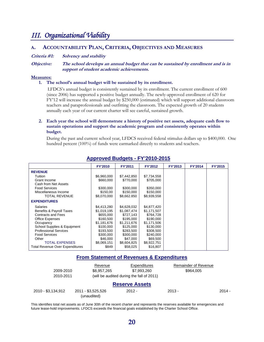### *III. Organizational Viability*

#### **A. ACCOUNTABILITY PLAN, CRITERIA, OBJECTIVES AND MEASURES**

#### **Criteria #1: Solvency and stability**

**Objective: The school develops an annual budget that can be sustained by enrollment and is in support of student academic achievements.** 

#### **Measures:**

#### **1. The school's annual budget will be sustained by its enrollment.**

 LFDCS's annual budget is consistently sustained by its enrollment. The current enrollment of 600 (since 2006) has supported a positive budget annually. The newly-approved enrollment of 620 for FY'12 will increase the annual budget by \$250,000 (estimated) which will support additional classroom teachers and paraprofessionals and outfitting the classroom. The expected growth of 20 students annually each year of our current charter will see careful, sustained growth.

#### **2. Each year the school will demonstrate a history of positive net assets, adequate cash flow to sustain operations and support the academic program and consistently operates within budget.**

During the past and current school year, LFDCS received federal stimulus dollars up to \$400,000. One hundred percent (100%) of funds were earmarked directly to students and teachers.

|                                 | <b>FY'2010</b> | <b>FY'2011</b> | <b>FY'2012</b> | FY'2013 | <b>FY'2014</b> | FY'2015 |
|---------------------------------|----------------|----------------|----------------|---------|----------------|---------|
| <b>REVENUE</b>                  |                |                |                |         |                |         |
| Tuition                         | \$6,960,000    | \$7,442,850    | \$7,734,558    |         |                |         |
| Grant Income                    | \$660,000      | \$770,000      | \$705,000      |         |                |         |
| Cash from Net Assets            |                |                |                |         |                |         |
| <b>Food Services</b>            | \$300,000      | \$300,000      | \$350,000      |         |                |         |
| Miscellaneous Income            | \$150,00       | \$150,000      | \$150,000      |         |                |         |
| <b>TOTAL REVENUE</b>            | \$8,070,000    | \$8,662.850    | \$8,939,558    |         |                |         |
| <b>EXPENDITURES</b>             |                |                |                |         |                |         |
| <b>Salaries</b>                 | \$4,413,280    | \$4,628,032    | \$4,877,420    |         |                |         |
| Benefits & Payroll Taxes        | \$1,019,195    | \$1,087,474    | \$1,171,507    |         |                |         |
| <b>Contracts and Fees</b>       | \$655,000      | \$727,143      | \$764,728      |         |                |         |
| <b>Office Expenses</b>          | \$160,500      | \$195,000      | \$190,000      |         |                |         |
| Occupancy                       | \$1,181,676    | \$1,211,676    | \$1,171,506    |         |                |         |
| School Supplies & Equipment     | \$100,000      | \$125,000      | \$130,000      |         |                |         |
| <b>Professional Services</b>    | \$193,500      | \$283,500      | \$308,500      |         |                |         |
| <b>Food Services</b>            | \$300,000      | \$300,000      | \$240,000      |         |                |         |
| Other                           | \$46,000       | \$47,000       | \$69,500       |         |                |         |
| <b>TOTAL EXPENSES</b>           | \$8,069,151    | \$8,604,825    | \$8,922,751    |         |                |         |
| Total Revenue Over Expenditures | \$849          | \$58,025       | \$16,807       |         |                |         |

#### **Approved Budgets - FY'2010-2015**

#### **From Statement of Revenues & Expenditures**

|                    | Revenue                           | Expenditures                              | Remainder of Revenue |          |
|--------------------|-----------------------------------|-------------------------------------------|----------------------|----------|
| 2009-2010          | \$8,957,265                       | \$7,993,260                               | \$964,005            |          |
| 2010-2011          |                                   | (will be audited during the fall of 2011) |                      |          |
|                    |                                   | <b>Reserve Assets</b>                     |                      |          |
| 2010 - \$3,134,912 | 2011 - \$3,525,526<br>(unaudited) | $2012 -$                                  | $2013 -$             | $2014 -$ |

This identifies total net assets as of June 30th of the recent charter and represents the reserves available for emergencies and future lease-hold improvements. LFDCS exceeds the financial goals established by the Charter School Office.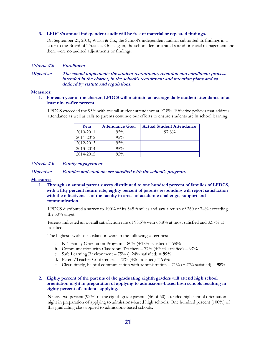#### **3. LFDCS's annual independent audit will be free of material or repeated findings.**

On September 21, 2010, Walsh & Co., the School's independent auditor submitted its findings in a letter to the Board of Trustees. Once again, the school demonstrated sound financial management and there were no audited adjustments or findings.

#### **Criteria #2: Enrollment**

**Objective: The school implements the student recruitment, retention and enrollment process intended in the charter, in the school's recruitment and retention plans and as defined by statute and regulations.** 

#### **Measures:**

#### **1. For each year of the charter, LFDCS will maintain an average daily student attendance of at least ninety-five percent.**

LFDCS exceeded the 95% with overall student attendance at 97.8%. Effective policies that address attendance as well as calls to parents continue our efforts to ensure students are in school learning.

| Year      | <b>Attendance Goal</b> | <b>Actual Student Attendance</b> |
|-----------|------------------------|----------------------------------|
| 2010-2011 | $95\%$                 | 97.8%                            |
| 2011-2012 | $95\%$                 |                                  |
| 2012-2013 | $95\%$                 |                                  |
| 2013-2014 | $95\%$                 |                                  |
| 2014-2015 | $95\%$                 |                                  |

**Criteria #3: Family engagement** 

**Objective: Families and students are satisfied with the school's program.** 

#### **Measures:**

**1. Through an annual parent survey distributed to one hundred percent of families of LFDCS, with a fifty percent return rate, eighty percent of parents responding will report satisfaction with the effectiveness of the faculty in areas of academic challenge, support and communication.** 

LFDCS distributed a survey to 100% of its 345 families and saw a return of 260 or 74% exceeding the 50% target.

Parents indicated an overall satisfaction rate of 98.5% with 66.8% at most satisfied and 33.7% at satisfied.

The highest levels of satisfaction were in the following categories:

- a. K-1 Family Orientation Program 80% (+18% satisfied) = **98%**
- **b.** Communication with Classroom Teachers  $-77%$  (+20% satisfied) =  $97%$
- c. Safe Learning Environment 75% (+24% satisfied) = **99%**
- d. Parent/Teacher Conferences 73% (+26 satisfied) = **99%**
- e. Clear, timely, helpful communication with administration 71% (+27% satisfied) = **98%**

#### **2. Eighty percent of the parents of the graduating eighth graders will attend high school orientation night in preparation of applying to admissions-based high schools resulting in eighty percent of students applying.**

Ninety-two percent (92%) of the eighth grade parents (46 of 50) attended high school orientation night in preparation of applying to admissions-based high schools. One hundred percent (100%) of this graduating class applied to admissions-based schools.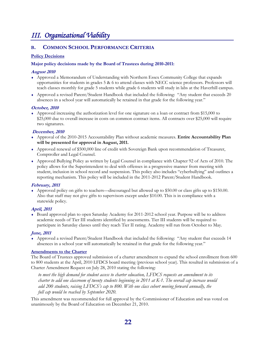# *III. Organizational Viability*

#### **B. COMMON SCHOOL PERFORMANCE CRITERIA**

#### **Policy Decisions**

#### **Major policy decisions made by the Board of Trustees during 2010-2011:**

#### **August 2010**

- ♦ Approved a Memorandum of Understanding with Northern Essex Community College that expands opportunities for students in grades 5 & 6 to attend classes with NECC science professors. Professors will teach classes monthly for grade 5 students while grade 6 students will study in labs at the Haverhill campus.
- ♦ Approved a revised Parent/Student Handbook that included the following: "Any student that exceeds 20 absences in a school year will automatically be retained in that grade for the following year."

#### **October, 2010**

♦ Approved increasing the authorization level for one signature on a loan or contract from \$15,000 to \$25,000 due to overall increase in costs on common contract items. All contracts over \$25,000 will require two signatures.

#### **December, 2010**

- ♦ Approval of the 2010-2015 Accountability Plan without academic measures. **Entire Accountability Plan will be presented for approval in August, 2011.**
- ♦ Approved renewal of \$500,000 line of credit with Sovereign Bank upon recommendation of Treasurer, Comptroller and Legal Counsel.
- ♦ Approved Bullying Policy as written by Legal Counsel in compliance with Chapter 92 of Acts of 2010. The policy allows for the Superintendent to deal with offenses in a progressive manner from meeting with student, inclusion in school record and suspension. This policy also includes "cyberbullying" and outlines a reporting mechanism. This policy will be included in the 2011-2012 Parent/Student Handbook.

#### **February, 2011**

♦ Approved policy on gifts to teachers—discouraged but allowed up to \$50.00 or class gifts up to \$150.00. Also that staff may not give gifts to supervisors except under \$10.00. This is in compliance with a statewide policy.

#### **April, 2011**

♦ Board approved plan to open Saturday Academy for 2011-2012 school year. Purpose will be to address academic needs of Tier III students identified by assessments. Tier III students will be required to participate in Saturday classes until they reach Tier II rating. Academy will run from October to May.

#### **June, 2011**

♦ Approved a revised Parent/Student Handbook that included the following: "Any student that exceeds 14 absences in a school year will automatically be retained in that grade for the following year."

#### **Amendments to the Charter**

The Board of Trustees approved submission of a charter amendment to expand the school enrollment from 600 to 800 students at the April, 2010 LFDCS board meeting (previous school year). This resulted in submission of a Charter Amendment Request on July 28, 2010 stating the following:

*to meet the high demand for student access to charter education, LFDCS requests an amendment to its charter to add one classroom of twenty students beginning in 2011 at K-1. The overall cap increase would add 200 students, raising LFDCS's cap to 800. With one class cohort moving forward annually, the full cap would be reached by September 2020.* 

This amendment was recommended for full approval by the Commissioner of Education and was voted on unanimously by the Board of Education on December 21, 2010.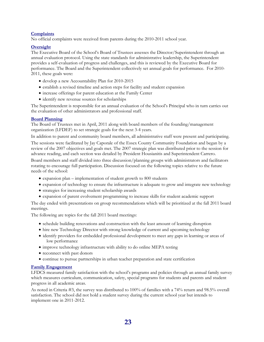#### **Complaints**

No official complaints were received from parents during the 2010-2011 school year.

#### **Oversight**

The Executive Board of the School's Board of Trustees assesses the Director/Superintendent through an annual evaluation protocol. Using the state standards for administrative leadership, the Superintendent provides a self-evaluation of progress and challenges, and this is reviewed by the Executive Board for performance. The Board and the Superintendent collectively set annual goals for performance. For 2010- 2011, these goals were:

- develop a new Accountability Plan for 2010-2015
- establish a revised timeline and action steps for facility and student expansion
- increase offerings for parent education at the Family Center
- identify new revenue sources for scholarships

The Superintendent is responsible for an annual evaluation of the School's Principal who in turn carries out the evaluation of other administrators and professional staff.

#### **Board Planning**

The Board of Trustees met in April, 2011 along with board members of the founding/management organization (LFDEF) to set strategic goals for the next 3-4 years.

In addition to parent and community board members, all administrative staff were present and participating. The sessions were facilitated by Jay Caporale of the Essex County Community Foundation and began by a review of the 2007 objectives and goals met. The 2007 strategic plan was distributed prior to the session for advance reading, and each section was detailed by President Housianitis and Superintendent Carrero.

Board members and staff divided into three discussion/planning groups with administrators and facilitators rotating to encourage full participation. Discussion focused on the following topics relative to the future needs of the school:

- expansion plan implementation of student growth to 800 students
- expansion of technology to ensure the infrastructure is adequate to grow and integrate new technology
- strategies for increasing student scholarship awards
- expansion of parent evolvement programming to increase skills for student academic support

The day ended with presentations on group recommendations which will be prioritized at the fall 2011 board meetings.

The following are topics for the fall 2011 board meetings:

- schedule building renovations and construction with the least amount of learning disruption
- hire new Technology Director with strong knowledge of current and upcoming technology
- identify providers for embedded professional development to meet any gaps in learning or areas of low performance
- improve technology infrastructure with ability to do online MEPA testing
- reconnect with past donors
- continue to pursue partnerships in urban teacher preparation and state certification

#### **Family Engagement**

LFDCS measured family satisfaction with the school's programs and policies through an annual family survey which measures curriculum, communication, safety, special programs for students and parents and student progress in all academic areas.

As noted in Criteria #3, the survey was distributed to 100% of families with a 74% return and 98.5% overall satisfaction. The school did not hold a student survey during the current school year but intends to implement one in 2011-2012.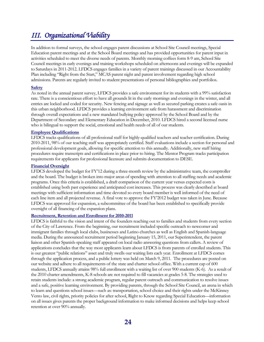# *III. Organizational Viability*

In addition to formal surveys, the school engages parent discussions at School Site Council meetings, Special Education parent meetings and at the School Board meetings and has provided opportunities for parent input in activities scheduled to meet the diverse needs of parents. Monthly morning coffees form 8-9 am, School Site Council meetings in early evenings and training workshops scheduled on afternoons and evenings will be expanded to Saturdays in 2011-2012. LFDCS engages families in a variety of parent trainings discussed in our Accountability Plan including "Right from the Start," MCAS parent night and parent involvement regarding high school admissions. Parents are regularly invited to student presentations of personal bibliographies and portfolios.

#### **Safety**

As noted in the annual parent survey, LFDCS provides a safe environment for its students with a 99% satisfaction rate. There is a conscientious effort to have all grounds lit in the early mornings and evenings in the winter, and all entries are locked and coded for security. New fencing and signage as well as secured parking creates a safe oasis in this urban neighborhood. LFDCS provides a learning environment safe from harassment and discrimination through overall expectations and a new mandated bullying policy approved by the School Board and by the Department of Secondary and Elementary Education in December, 2010. LFDCS hired a second licensed nurse who is bilingual to support the social, emotional and health needs of all of our students.

#### **Employee Qualifications**

LFDCS tracks qualifications of all professional staff for highly-qualified teachers and teacher certification. During 2010-2011, 98% of our teaching staff was appropriately certified. Staff evaluations include a section for personal and professional development goals, allowing for specific attention to this annually. Additionally, new staff hiring procedures require transcripts and certifications in place prior to hiring. The Mentor Program tracks participation requirements for applicants for professional licensure and submits documentation to DESE.

#### **Financial Oversight**

LFDCS developed the budget for FY'12 during a three-month review by the administrative team, the comptroller and the board. The budget is broken into major areas of spending with attention to all staffing needs and academic programs. Once this criteria is established, a draft comparison of the current year versus expected costs is established using both past experience and anticipated cost increases. This process was clearly described at board meetings with sufficient information and time devoted so every board member is well informed of the need of each line item and all projected revenue. A final vote to approve the FY'2012 budget was taken in June. Because LFDCS was approved for expansion, a subcommittee of the board has been established to specifically provide oversight of all financing of the expansion plans.

#### **Recruitment, Retention and Enrollment for 2010-2011**

LFDCS is faithful to the vision and intent of the founders reaching out to families and students from every section of the City of Lawrence. From the beginning, our recruitment included specific outreach to newcomer and immigrant families through local clubs, businesses and Latino churches as well as English and Spanish-language media. During the announced recruitment period beginning January 15, 2011, our Superintendent, the parent liaison and other Spanish-speaking staff appeared on local radio answering questions from callers. A review of applications concludes that the way most applicants learn about LFDCS is from parents of enrolled students. This is our greatest "public relations" asset and truly swells our waiting lists each year. Enrollment at LFDCS comes through the application process, and a public lottery was held on March 9, 2011. The procedures are posted on our website and adhere to all requirements of the state and charter school office. With a current cap of 600 students, LFDCS annually attains 98% full enrollment with a waiting list of over 900 students (K-6). As a result of the 2010 charter amendments, K-8 schools are not required to fill vacancies at grades 5-8. The strategies used to retain students include: a strong academic program, regular parent outreach and communication to resolve issues and a safe, positive learning environment. By providing parents, through the School Site Council, an arena in which to learn and questions school issues—such as: transportation, school choice and their rights under the McKinney Vento law, civil rights, priority policies for after school, Right to Know regarding Special Education—information on all issues gives parents the proper background information to make informed decisions and helps keep school retention at over 90% annually.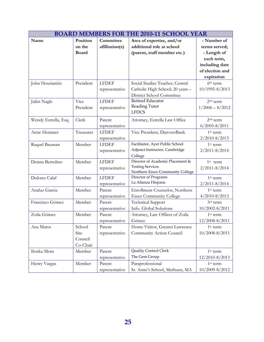| <b>BOARD MEMBERS FOR THE 2010-11 SCHOOL YEAR</b> |                                       |                                |                                                                                                  |                                                 |  |  |
|--------------------------------------------------|---------------------------------------|--------------------------------|--------------------------------------------------------------------------------------------------|-------------------------------------------------|--|--|
| Name                                             | Position<br>on the<br><b>Board</b>    | Committee<br>affiliation(s)    | Area of expertise, and/or<br>additional role at school<br>(parent, staff member etc.)            | - Number of<br>terms served;<br>- Length of     |  |  |
|                                                  |                                       |                                |                                                                                                  | each term,<br>including date<br>of election and |  |  |
| John Housianitis                                 | President                             | <b>LFDEF</b><br>representative | Social Studies Teacher, Central<br>Catholic High School; 20 years -<br>District School Committee | expiration<br>$6th$ term<br>10/1995-8/2013      |  |  |
| Juliet Nagle                                     | Vice<br>President                     | <b>LFDEF</b><br>representative | Retired Educator<br>Reading Tutor<br><b>LFDCS</b>                                                | 2 <sup>nd</sup> term<br>$1/2006 - 8/2012$       |  |  |
| Wendy Estrella, Esq.                             | Clerk                                 | Parent<br>representative       | Attorney, Estrella Law Office                                                                    | 2 <sup>nd</sup> term<br>$6/2005 - 8/2011$       |  |  |
| Anne Hemmer                                      | Treasurer                             | <b>LFDEF</b><br>representative | Vice President, DanversBank                                                                      | 1 <sup>st</sup> term<br>2/2010-8/2013           |  |  |
| Raquel Bauman                                    | Member                                | <b>LFDEF</b><br>representative | Facilitator, Ayer Public School<br>Adjunct Instructor, Cambridge<br>College                      | 1 <sup>st</sup> term<br>$2/2011 - 8/2014$       |  |  |
| Donna Bertolino                                  | Member                                | <b>LFDEF</b><br>representative | Director of Academic Placement &<br><b>Testing Services</b><br>Northern Essex Community College  | 1 <sup>st</sup> term<br>$2/2011 - 8/2014$       |  |  |
| Dolores Calaf                                    | Member                                | <b>LFDEF</b><br>representative | Director of Programs<br>La Alianza Hispana                                                       | $1st$ term<br>2/2011-8/2014                     |  |  |
| Analuz Garcia                                    | Member                                | Parent<br>representative       | Enrollment Counselor, Northern<br><b>Essex Community College</b>                                 | 1 <sup>st</sup> term<br>$4/2010 - 8/2013$       |  |  |
| Francisco Gómez                                  | Member                                | Parent<br>representative       | <b>Technical Support</b><br>Info. Global Solutions                                               | 3rd term<br>10/2002-8/2011                      |  |  |
| Zoila Gómez                                      | Member                                | Parent<br>representative       | Attorney, Law Offices of Zoila<br>Gómez                                                          | 1 <sup>st</sup> term<br>12/2008-8/2011          |  |  |
| Ana Matos                                        | School<br>Site<br>Council<br>Co-Chair | Parent<br>representative       | Home Visitor, Greater Lawrence<br>Community Action Council                                       | 1 <sup>st</sup> term<br>10/2008-8/2011          |  |  |
| Ilonka Mora                                      | Member                                | Parent<br>representative       | Quality Control Clerk<br>The Gem Group                                                           | 1 <sup>st</sup> term<br>12/2010-8/2013          |  |  |
| Henry Vargas                                     | Member                                | Parent<br>representative       | Paraprofessional<br>St. Anne's School, Methuen, MA                                               | 1 <sup>st</sup> term<br>10/2009-8/2012          |  |  |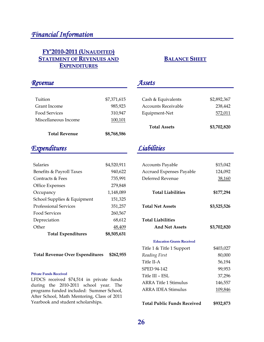### **FY'2010-2011 (UNAUDITED) STATEMENT OF REVENUES AND EXPENDITURES**

### *Revenue*

| 100,101     |
|-------------|
| 310,947     |
| 985,923     |
| \$7,371,615 |
|             |

# *Expenditures*

| <b>Salaries</b>              | \$4,520,911 |
|------------------------------|-------------|
| Benefits & Payroll Taxes     | 940,622     |
| Contracts & Fees             | 735,991     |
| <b>Office Expenses</b>       | 279,848     |
| Occupancy                    | 1,148,089   |
| School Supplies & Equipment  | 151,325     |
| <b>Professional Services</b> | 351,257     |
| <b>Food Services</b>         | 260,567     |
| Depreciation                 | 68.612      |
| Other                        | 48,409      |
| <b>Total Expenditures</b>    | \$8,505,631 |

**Total Revenue Over Expenditures \$262,955**

#### **Private Funds Received**

LFDCS received \$74,514 in private funds during the 2010-2011 school year. The programs funded included: Summer School, After School, Math Mentoring, Class of 2011 Yearbook and student scholarships.

### **BALANCE SHEET**

### *Assets*

| Cash & Equivalents         | \$2,892,367 |
|----------------------------|-------------|
| <b>Accounts Receivable</b> | 238,442     |
| Equipment-Net              | 572,011     |
| <b>Total Assets</b>        | \$3,702,820 |

# *Liabilities*

| \$15,042    |
|-------------|
| 124,092     |
| 38,160      |
| \$177,294   |
| \$3,525,526 |
| \$3,702,820 |
|             |

#### **Education Grants Received**

| Title 1 & Title 1 Support    | \$403,027 |
|------------------------------|-----------|
| Reading First                | 80,000    |
| Title II-A                   | 56,194    |
| SPED 94-142                  | 99,953    |
| Title III – ESL              | 37,296    |
| <b>ARRA Title 1 Stimulus</b> | 146,557   |
| <b>ARRA IDEA Stimulus</b>    | 109,846   |
|                              |           |
|                              |           |

**Total Public Funds Received \$932,873**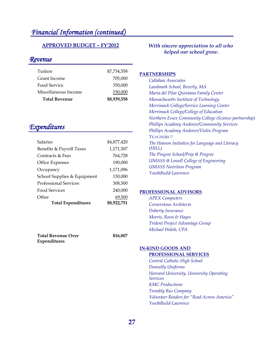# *Financial Information (continued)*

#### **APPROVED BUDGET – FY'2012**

#### *Revenue*

| Tuition              | \$7,734,558 |
|----------------------|-------------|
| Grant Income         | 705,000     |
| Food Service         | 350,000     |
| Miscellaneous Income | 150,000     |
| <b>Total Revenue</b> | \$8,939,558 |

# *Expenditures*

| <b>Total Expenditures</b>    | \$8,922,751 |
|------------------------------|-------------|
| Other                        | 69,500      |
| Food Services                | 240,000     |
| <b>Professional Services</b> | 308,500     |
| School Supplies & Equipment  | 130,000     |
| Occupancy                    | 1,171,096   |
| <b>Office Expenses</b>       | 190,000     |
| Contracts & Fees             | 764,728     |
| Benefits & Payroll Taxes     | 1,171,507   |
| Salaries                     | \$4,877,420 |
|                              |             |

**Total Revenue Over Expenditures \$16,807**

#### *With sincere appreciation to all who helped our school grow.*

#### **PARTNERSHIPS**

| Callahan Associates                                    |
|--------------------------------------------------------|
| Landmark School, Beverly, MA                           |
| Maria del Pilar Quintana Family Center                 |
| Massachusetts Institute of Technology                  |
| Merrimack College/Service Learning Center              |
| Merrimack College/College of Education                 |
| Northern Essex Community College (Science partnership) |
| <b>Phillips Academy Andover/Community Services</b>     |
| Phillips Academy Andover/Violin Program                |
| <b>TEACHERS</b> <sup>21</sup>                          |
| The Hanson Initiative for Language and Literacy        |
| (HILL)                                                 |
| The Pingree School/Prep @ Pingree                      |
| <b>UMASS</b> @ Lowell College of Engineering           |
| <b>UMASS Nutrition Program</b>                         |
| YouthBuild-Lawrence                                    |

#### **PROFESSIONAL ADVISORS**

*APEX Computers Cornerstone Architects Doherty Insurance Morris, Rossi & Hayes Trident Project Advantage Group Michael Walsh, CPA* 

#### **IN-KIND GOODS AND**

#### **PROFESSIONAL SERVICES**

*Central Catholic High School Donnelly Uniforms Harvard University, University Operating Services KMC Productions Trombly Bus Company Volunteer Readers for "Read Across America" YouthBuild-Lawrence*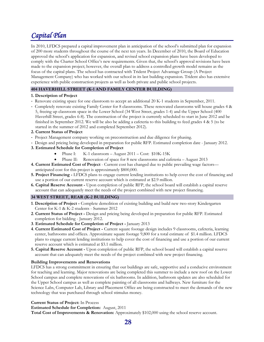# *Capital Plan*

In 2010, LFDCS prepared a capital improvement plan in anticipation of the school's submitted plan for expansion of 200 more students throughout the course of the next ten years. In December of 2010, the Board of Education approved the school's application for expansion, and revised school expansion plans have been developed to comply with the Charter School Office's new requirements. Given that, the school's approval revisions have been made to the expansion project; however, the overall plan to address a controlled growth model remains as the focus of the capital plans. The school has contracted with Trident Project Advantage Group (A Project Management Company) who has worked with our school in its last building expansion. Trident also has extensive experience with public construction projects as well as both private and public school projects.

#### **404 HAVERHILL STREET (K-1 AND FAMILY CENTER BUILDING)**

#### **1. Description of Project**

- Renovate existing space for one classroom to accept an additional 20 K-1 students in September, 2011.
- Completely renovate existing Family Center for 8 classrooms. These renovated classrooms will house grades 4 & 5, freeing up classroom space in the Lower School (34 West Street, grades 1-4) and the Upper School (400 Haverhill Street, grades 6-8). The construction of the project is currently scheduled to start in June 2012 and be finished in September 2012. We will be also be adding a cafeteria to this building to feed grades 4 & 5 (to be started in the summer of 2012 and completed September 2012).

#### **2. Current Status of Project**

- Project Management company working on preconstruction and due diligence for phasing.
- Design and pricing being developed in preparation for public RFP. Estimated completion date January 2012.
- **3. Estimated Schedule for Completion of Project** 
	- Phase I: K-1 classroom August 2011 Cost: \$10K-15K
	- Phase II: Renovation of space for 8 new classrooms and cafeteria August 2013
- **4. Current Estimated Cost of Project**  Current cost has changed due to public prevailing wage factors anticipated cost for this project is approximately \$800,000.
- **5. Project Financing** LFDCS plans to engage current lending institutions to help cover the cost of financing and use a portion of our current reserve account which is estimated at \$2.9 million.
- **6. Capital Reserve Account -** Upon completion of public RFP, the school board will establish a capital reserve account that can adequately meet the needs of the project combined with new project financing.

#### **34 WEST STREET, REAR (K-2 BUILDING)**

- **1**. **Description of Project** Complete demolition of existing building and build new two-story Kindergarten Center for K-1 & K-2 students - Summer 2012
- **2**. **Current Status of Project** Design and pricing being developed in preparation for public RFP. Estimated completion for bidding - January 2012.
- **3**. **Estimated Schedule for Completion of Project -** January 2013
- **4**. **Current Estimated Cost of Project** Current square footage design includes 9 classrooms, cafeteria, learning center, bathrooms and offices. Approximate square footage 9,800 for a total estimate of \$1.4 million. LFDCS plans to engage current lending institutions to help cover the cost of financing and use a portion of our current reserve account which is estimated at \$3.1 million.
- **5. Capital Reserve Account -** Upon completion of public RFP, the school board will establish a capital reserve account that can adequately meet the needs of the project combined with new project financing.

#### **Building Improvements and Renovations**

LFDCS has a strong commitment in ensuring that our buildings are safe, supportive and a conducive environment for teaching and learning. Major renovations are being completed this summer to include a new roof on the Lower School campus and complete renovations of six bathrooms. In addition, bathroom updates are also scheduled for the Upper School campus as well as complete painting of all classrooms and hallways. New furniture for the Science Labs, Computer Lab, Library and Placement Office are being constructed to meet the demands of the new technology that was purchased through school stimulus money.

#### **Current Status of Project:** In Process

**Estimated Schedule for Completion:** August, 2011

**Total Cost of Improvements & Renovation:** Approximately \$102,000 using the school reserve account.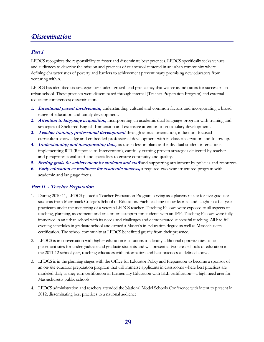# *Dissemination*

#### **Part 1**

LFDCS recognizes the responsibility to foster and disseminate best practices. LFDCS specifically seeks venues and audiences to describe the mission and practices of our school centered in an urban community where defining characteristics of poverty and barriers to achievement prevent many promising new educators from venturing within.

LFDCS has identified six strategies for student growth and proficiency that we see as indicators for success in an urban school. These practices were disseminated through internal (Teacher Preparation Program) and external (educator conferences) dissemination.

- **1. Intentional parent involvement**, understanding cultural and common factors and incorporating a broad range of education and family development.
- **2. Attention to language acquisition,** incorporating an academic dual-language program with training and strategies of Sheltered English Immersion and extensive attention to vocabulary development.
- **3. Teacher training, professional development** through annual orientation, induction, focused curriculum knowledge and embedded professional development with in-class observation and follow up.
- **4. Understanding and incorporating data,** its use in lesson plans and individual student interactions, implementing RTI (Response to Intervention), carefully crafting proven strategies delivered by teacher and paraprofessional staff and specialists to ensure continuity and quality.
- **5. Setting goals for achievement by students and staff** and supporting attainment by policies and resources.
- **6. Early education as readiness for academic success,** a required two-year structured program with academic and language focus.

#### **Part II - Teacher Preparation**

- 1. During 2010-11, LFDCS piloted a Teacher Preparation Program serving as a placement site for five graduate students from Merrimack College's School of Education. Each teaching fellow learned and taught in a full-year practicum under the mentoring of a veteran LFDCS teacher. Teaching Fellows were exposed to all aspects of teaching, planning, assessments and one-on-one support for students with an IEP. Teaching Fellows were fully immersed in an urban school with its needs and challenges and demonstrated successful teaching. All had full evening schedules in graduate school and earned a Master's in Education degree as well as Massachusetts certification. The school community at LFDCS benefitted greatly from their presence.
- 2. LFDCS is in conversation with higher education institutions to identify additional opportunities to be placement sites for undergraduate and graduate students and will present at two area schools of education in the 2011-12 school year, reaching educators with information and best practices as defined above.
- 3. LFDCS is in the planning stages with the Office for Educator Policy and Preparation to become a sponsor of an on-site educator preparation program that will immerse applicants in classrooms where best practices are modeled daily as they earn certification in Elementary Education with ELL certification—a high need area for Massachusetts public schools.
- 4. LFDCS administration and teachers attended the National Model Schools Conference with intent to present in 2012, disseminating best practices to a national audience.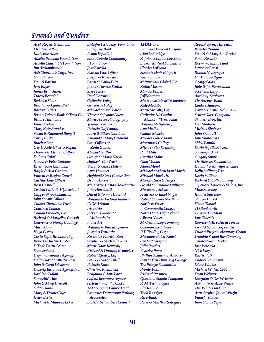# *Friends and Funders*

*Abel, Rogers & Sullivan Elizabeth Allen Katherine Allen Amelia Peabody Foundation Arbella Charitable Foundation Jim Archambeault Ash Charitable Corp., Inc. Gino Baroni Daniel Batista Jerri Bayer James Beauchesne Tracey Beaudoin Berkeley Shoes Brardon & Lynne Blech Boston Celtics Boston Private Bank & Trust Co. Brian's Hardware Janis Brodeur Mary Kate Bronder Susan & Raymond Burgett Cathy Burke Butcher Boy C & D Auto Glass & Repair Thomas & Eleanor Caffrey Dolores Calaf Donna & Peter Carbone Kristin Karl Carnahan Ralph & Ana Carrero Vincent & Regina Carusi Castillo Law Offices Ross Caswell Central Catholic High School Clipper Ship Foundation John & Ann Collins Collins Charitable Trust Courtney Conlon Conlon Products, Inc. Richard & Maryellen Consoli Lawrence & Nancy Coolidge Maria Cora Hugo Cortes Costa Eagle Broadcasting Robert & Justine Croteau D'Todo Party Center Danversbank Degnan Insurance Agency Dalia Diaz & Alberto Suris John & Carol Dickison Doherty Insurance Agency, Inc. Kathleen Dolan Donnelly's, Inc. John & Mary Driscoll Gilda Duran Mary & Dennis Dyer Helen Eccles Michael & Maureen Ecker* 

*El-Hefni Tech. Trng. Foundation Enterprise Bank Benny Espaillat Essex County Community Foundation Jose Estrella Estrella Law Offices Joseph & Rose Faro Larry & Kathy Feltz John & Theresa Fenton Steve Filosa Paul Fiorentini Catherine Foley Genevieve Foley Michael & Beth Foley Vincent & Jeanne Foley Marie Forbes Photography Joanne Fournier Patricia Gaj Family Larry & Eileen Giordano Armand & Mary Girouard Law Offices of Zoila Gomez Michael Griffin George & Marie Habib Haffner's Car Wash Victor & Grace Hatem Anne Hemmer Highland Street Connection Debra Hilbert Mr. & Mrs. Costas Housianitis John Housianitis David & Joanne Howard William & Victoria Iannazzi INDRA Salon Iris Inirio Jackson Lumber & Millwork Co. Javier Art William & Barbara Jensen Joseph's Trattoria Russell & Patricia Karl Stephen & Michaella Karl Mary Claire Kennedy Richard & Dorothy Kennicker Robert Kfoury, Esq Frank & Mary Kivell Patricia Knox Christine Kuzmitski Benjamin & Jane Lacy Lafond Insurance Agency Fr. Joachim Lally, C.S.P. Ted & Connie Lapres Fund Lawrence Downtown Parking Associates LFDCS School Site Council* 

*LFDEF, Inc. Lawrence General Hospital Alan LeBovidge R. John & Lillian Levesque Liberty Mutual Foundation Charles LoPiano Susan & Herbert Lynch Susan Lyons Mainstream Global, Inc. Kathy Mason Mano's Pizzeria Jeff Marques Mass. Institute of Technology Kate McCabe Mary McCabe, Esq. Catherine McCarthy Memorial Trust Fund William McSweeney Ana Medina Gladys Mencia Mendez Flowerloons Merrimack College Miguel's Car Detailing Paul Miller Cynthia Mohr Gina Moody Alana Morel Michael & Mary Joan Morris Michael Morris, Jr. Morris, Rossi & Hayes Gerald & Caroline Mulligan Museum of Science Frederick & Juliet Nagle Robert & Karol Needham Northern Essex Community College Notre Dame High School Alberto Nunez M. O'Mahoney Company One-on-One Fitness P.T. Trading Corp. Marianne Paley-Nadel Cindy Parnagian Julio Pentiro Beatrice Perez Phillips Academy, Andover Ray & Tien Thuy Ung Pillidge The Pringle Foundation Pronto Pizza Richard Purinton Quintana Supply Company R. M. Technologies Elie Rahme Todd Rassiger RiverBank Peter & Martha Rodriguez* 

*Rogers' Spring Hill Farm Kretcha Roldan Daniel & Mary Ann Rorke Sonia Rosario Rosman Family Fund Laurence Rossi Rumbo Newspaper Dr. Thomas Ryan George Salas Judy & Joe Samuelman Scott San Jurjo Anthony Sapienza The Savings Bank Linda Schiavone Tony & Carmen Schumann Sentry Glass Company Shaheen Bros. Inc. Fred Shaheen Michael Shaheen John Shaw III Jane Shawcross Sidell Family Dario & Julia Silverio Sovereign Bank Gregory Spurr The Stevens Foundation Howard & Marilyn Sticklor Kelly Sullivan, Esq. Kevin Sullivan Richard & Lolli Sumberg Superior Cleaners &Tailors, Inc. Mike Sweeney Jennifer Sylvester Sharon Tankel Shaun Tankel TD Banknorth Tenares Tire Shop Jane Thiefels Representative David Torrisi Trend Micro Incorporated Trident Project Advantage Group Trombly School Bus Company Senator Susan Tucker Jose Vescuela Nick Vogel Kurtis Volk Charles Von Bruns Diane Walker Michael Walsh, CPA Dean Webster Kingman & Dee Webster Alexander & Anne White The White Fund, Inc. Atty. Stephen James Wright Pamela Yameen Juan & Luis Yepez*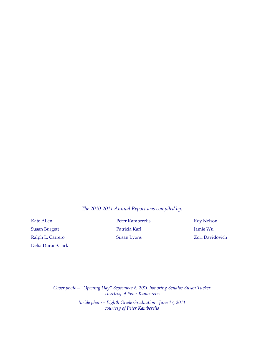#### *The 2010-2011 Annual Report was compiled by:*

Susan Burgett Patricia Karl Jamie Wu Ralph L. Carrero Susan Lyons Susan Lyons Zori Davidovich Delia Duran-Clark

Kate Allen **Peter Kamberelis** Roy Nelson

*Cover photo—"Opening Day" September 6, 2010 honoring Senator Susan Tucker courtesy of Peter Kamberelis Inside photo – Eighth Grade Graduation: June 17, 2011* 

*courtesy of Peter Kamberelis*